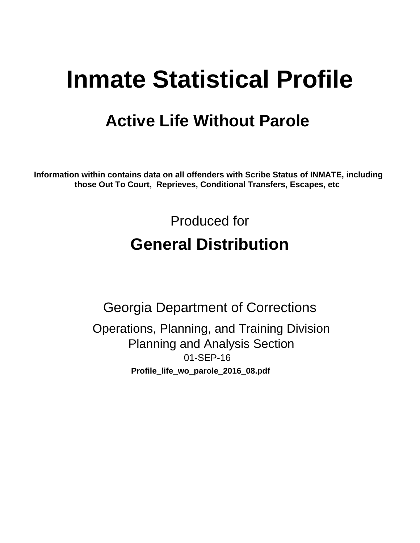# **Inmate Statistical Profile**

## **Active Life Without Parole**

Information within contains data on all offenders with Scribe Status of INMATE, including those Out To Court, Reprieves, Conditional Transfers, Escapes, etc

> Produced for **General Distribution**

**Georgia Department of Corrections** Operations, Planning, and Training Division **Planning and Analysis Section** 01-SEP-16 Profile\_life\_wo\_parole\_2016\_08.pdf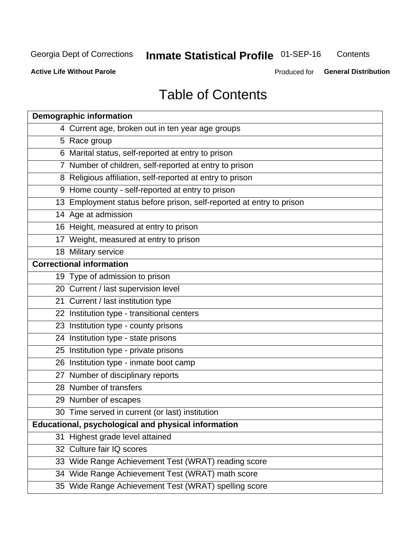#### **Inmate Statistical Profile 01-SEP-16** Contents

**Active Life Without Parole** 

Produced for General Distribution

## **Table of Contents**

| <b>Demographic information</b>                                       |
|----------------------------------------------------------------------|
| 4 Current age, broken out in ten year age groups                     |
| 5 Race group                                                         |
| 6 Marital status, self-reported at entry to prison                   |
| 7 Number of children, self-reported at entry to prison               |
| 8 Religious affiliation, self-reported at entry to prison            |
| 9 Home county - self-reported at entry to prison                     |
| 13 Employment status before prison, self-reported at entry to prison |
| 14 Age at admission                                                  |
| 16 Height, measured at entry to prison                               |
| 17 Weight, measured at entry to prison                               |
| 18 Military service                                                  |
| <b>Correctional information</b>                                      |
| 19 Type of admission to prison                                       |
| 20 Current / last supervision level                                  |
| 21 Current / last institution type                                   |
| 22 Institution type - transitional centers                           |
| 23 Institution type - county prisons                                 |
| 24 Institution type - state prisons                                  |
| 25 Institution type - private prisons                                |
| 26 Institution type - inmate boot camp                               |
| 27 Number of disciplinary reports                                    |
| 28 Number of transfers                                               |
| 29 Number of escapes                                                 |
| 30 Time served in current (or last) institution                      |
| <b>Educational, psychological and physical information</b>           |
| 31 Highest grade level attained                                      |
| 32 Culture fair IQ scores                                            |
| 33 Wide Range Achievement Test (WRAT) reading score                  |
| 34 Wide Range Achievement Test (WRAT) math score                     |
| 35 Wide Range Achievement Test (WRAT) spelling score                 |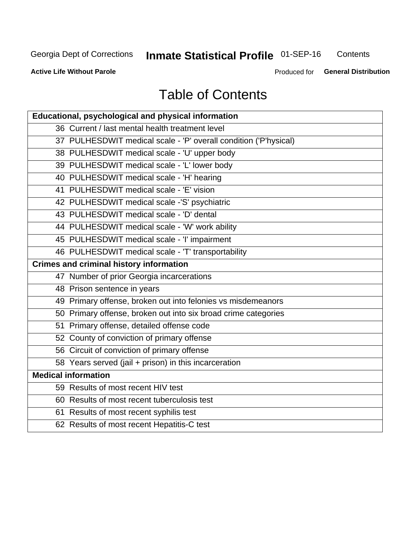## **Inmate Statistical Profile 01-SEP-16**

Contents

**Active Life Without Parole** 

Produced for General Distribution

## **Table of Contents**

| Educational, psychological and physical information              |
|------------------------------------------------------------------|
| 36 Current / last mental health treatment level                  |
| 37 PULHESDWIT medical scale - 'P' overall condition ('P'hysical) |
| 38 PULHESDWIT medical scale - 'U' upper body                     |
| 39 PULHESDWIT medical scale - 'L' lower body                     |
| 40 PULHESDWIT medical scale - 'H' hearing                        |
| 41 PULHESDWIT medical scale - 'E' vision                         |
| 42 PULHESDWIT medical scale -'S' psychiatric                     |
| 43 PULHESDWIT medical scale - 'D' dental                         |
| 44 PULHESDWIT medical scale - 'W' work ability                   |
| 45 PULHESDWIT medical scale - 'I' impairment                     |
| 46 PULHESDWIT medical scale - 'T' transportability               |
| <b>Crimes and criminal history information</b>                   |
| 47 Number of prior Georgia incarcerations                        |
| 48 Prison sentence in years                                      |
| 49 Primary offense, broken out into felonies vs misdemeanors     |
| 50 Primary offense, broken out into six broad crime categories   |
| 51 Primary offense, detailed offense code                        |
| 52 County of conviction of primary offense                       |
| 56 Circuit of conviction of primary offense                      |
| 58 Years served (jail + prison) in this incarceration            |
| <b>Medical information</b>                                       |
| 59 Results of most recent HIV test                               |
| 60 Results of most recent tuberculosis test                      |
| 61 Results of most recent syphilis test                          |
| 62 Results of most recent Hepatitis-C test                       |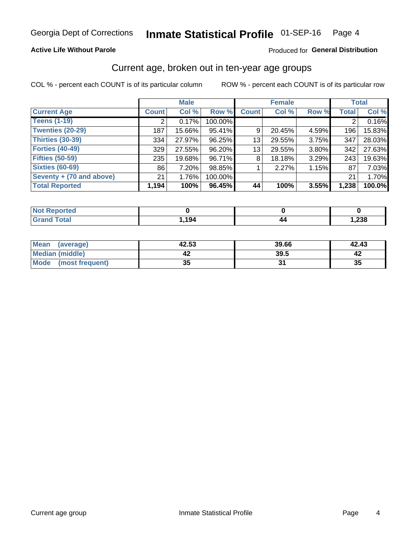#### **Active Life Without Parole**

#### Produced for General Distribution

### Current age, broken out in ten-year age groups

COL % - percent each COUNT is of its particular column

|                          | <b>Male</b>  |        |         |              | <b>Female</b> |          |              | <b>Total</b> |
|--------------------------|--------------|--------|---------|--------------|---------------|----------|--------------|--------------|
| <b>Current Age</b>       | <b>Count</b> | Col %  | Row %   | <b>Count</b> | Col %         | Row %    | <b>Total</b> | Col %        |
| <b>Teens (1-19)</b>      | ⌒            | 0.17%  | 100.00% |              |               |          | 2            | 0.16%        |
| <b>Twenties (20-29)</b>  | 187          | 15.66% | 95.41%  | 9            | 20.45%        | 4.59%    | 196          | 15.83%       |
| <b>Thirties (30-39)</b>  | 334          | 27.97% | 96.25%  | 13           | 29.55%        | $3.75\%$ | 347          | 28.03%       |
| <b>Forties (40-49)</b>   | 329          | 27.55% | 96.20%  | 13           | 29.55%        | $3.80\%$ | 342          | 27.63%       |
| <b>Fifties (50-59)</b>   | 235          | 19.68% | 96.71%  | 8            | 18.18%        | 3.29%    | 243          | 19.63%       |
| <b>Sixties (60-69)</b>   | 86           | 7.20%  | 98.85%  |              | 2.27%         | 1.15%    | 87           | 7.03%        |
| Seventy + (70 and above) | 21           | 1.76%  | 100.00% |              |               |          | 21           | 1.70%        |
| <b>Total Reported</b>    | 1,194        | 100%   | 96.45%  | 44           | 100%          | 3.55%    | 1,238        | 100.0%       |

| net-<br>m. |      |      |
|------------|------|------|
| $C0+0$     | ,194 | ,238 |

| Mean<br>(average)    | 42.53    | 39.66 | 42.43 |
|----------------------|----------|-------|-------|
| Median (middle)      |          | 39.5  |       |
| Mode (most frequent) | つん<br>vu |       | 35    |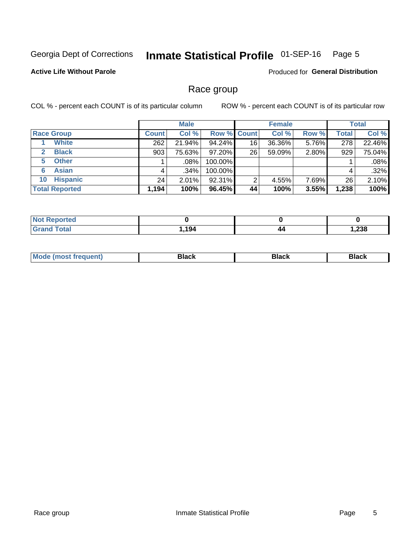#### Inmate Statistical Profile 01-SEP-16 Page 5

#### **Active Life Without Parole**

**Produced for General Distribution** 

### Race group

COL % - percent each COUNT is of its particular column

|                              | <b>Male</b>  |        |                    | <b>Female</b> |        |       | <b>Total</b> |        |
|------------------------------|--------------|--------|--------------------|---------------|--------|-------|--------------|--------|
| <b>Race Group</b>            | <b>Count</b> | Col %  | <b>Row % Count</b> |               | Col %  | Row % | Total        | Col %  |
| <b>White</b>                 | 262          | 21.94% | 94.24%             | 16            | 36.36% | 5.76% | 278          | 22.46% |
| <b>Black</b><br>$\mathbf{2}$ | 903          | 75.63% | 97.20%             | 26            | 59.09% | 2.80% | 929          | 75.04% |
| <b>Other</b><br>5.           |              | .08%   | 100.00%            |               |        |       |              | .08%   |
| <b>Asian</b><br>6            | 4            | ا 34%. | 100.00%            |               |        |       | 4            | .32%   |
| <b>Hispanic</b><br>10        | 24           | 2.01%  | 92.31%             | 2             | 4.55%  | 7.69% | 26           | 2.10%  |
| <b>Total Reported</b>        | 1,194        | 100%   | 96.45%             | 44            | 100%   | 3.55% | 1,238        | 100%   |

| <b>ported</b> |      |    |              |
|---------------|------|----|--------------|
| <b>Total</b>  | .194 | 44 | റാറ<br>ةد∡,⊧ |

| –•••• |  | M |  |  |  |
|-------|--|---|--|--|--|
|-------|--|---|--|--|--|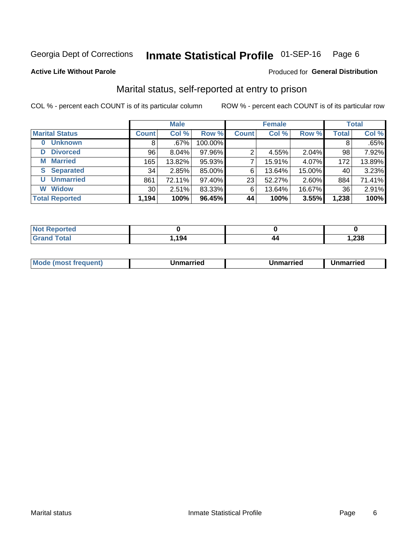#### Inmate Statistical Profile 01-SEP-16 Page 6

#### **Active Life Without Parole**

#### **Produced for General Distribution**

## Marital status, self-reported at entry to prison

COL % - percent each COUNT is of its particular column

|                            |                 | <b>Male</b> |         | <b>Female</b> |        |        | <b>Total</b> |        |
|----------------------------|-----------------|-------------|---------|---------------|--------|--------|--------------|--------|
| <b>Marital Status</b>      | <b>Count</b>    | Col %       | Row %   | <b>Count</b>  | Col %  | Row %  | <b>Total</b> | Col %  |
| <b>Unknown</b><br>$\bf{0}$ | 8               | $.67\%$     | 100.00% |               |        |        | 8            | .65%   |
| <b>Divorced</b><br>D       | 96              | 8.04%       | 97.96%  | 2             | 4.55%  | 2.04%  | 98           | 7.92%  |
| <b>Married</b><br>М        | 165             | 13.82%      | 95.93%  |               | 15.91% | 4.07%  | 172          | 13.89% |
| <b>Separated</b><br>S      | 34              | 2.85%       | 85.00%  | 6             | 13.64% | 15.00% | 40           | 3.23%  |
| <b>Unmarried</b><br>U      | 861             | 72.11%      | 97.40%  | 23            | 52.27% | 2.60%  | 884          | 71.41% |
| <b>Widow</b><br>W          | 30 <sub>1</sub> | 2.51%       | 83.33%  | 6             | 13.64% | 16.67% | 36           | 2.91%  |
| <b>Total Reported</b>      | 1,194           | 100%        | 96.45%  | 44            | 100%   | 3.55%  | 1,238        | 100%   |

| <b>Not Repo</b><br>prted |      |     |       |
|--------------------------|------|-----|-------|
| <b>Total</b>             | ,194 | /17 | 238,، |

|  | M | . | Unmarried | າmarried<br>_____ |
|--|---|---|-----------|-------------------|
|--|---|---|-----------|-------------------|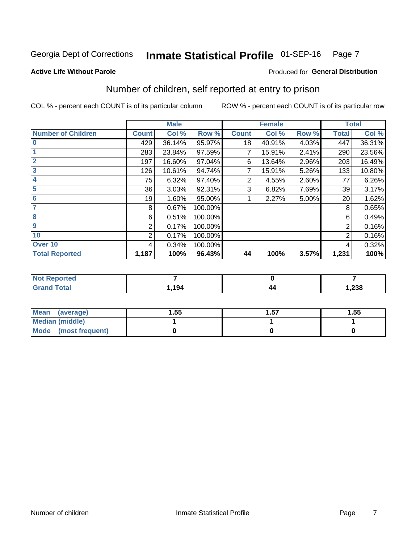#### Inmate Statistical Profile 01-SEP-16 Page 7

#### **Active Life Without Parole**

#### **Produced for General Distribution**

## Number of children, self reported at entry to prison

COL % - percent each COUNT is of its particular column

|                           |              | <b>Male</b> |         |              | <b>Female</b> |       |                | <b>Total</b> |
|---------------------------|--------------|-------------|---------|--------------|---------------|-------|----------------|--------------|
| <b>Number of Children</b> | <b>Count</b> | Col %       | Row %   | <b>Count</b> | Col %         | Row % | <b>Total</b>   | Col %        |
| $\bf{0}$                  | 429          | 36.14%      | 95.97%  | 18           | 40.91%        | 4.03% | 447            | 36.31%       |
|                           | 283          | 23.84%      | 97.59%  |              | 15.91%        | 2.41% | 290            | 23.56%       |
| $\overline{2}$            | 197          | 16.60%      | 97.04%  | 6            | 13.64%        | 2.96% | 203            | 16.49%       |
| 3                         | 126          | 10.61%      | 94.74%  | 7            | 15.91%        | 5.26% | 133            | 10.80%       |
| 4                         | 75           | 6.32%       | 97.40%  | 2            | 4.55%         | 2.60% | 77             | 6.26%        |
| 5                         | 36           | 3.03%       | 92.31%  | 3            | 6.82%         | 7.69% | 39             | 3.17%        |
| 6                         | 19           | 1.60%       | 95.00%  |              | 2.27%         | 5.00% | 20             | 1.62%        |
| 7                         | 8            | 0.67%       | 100.00% |              |               |       | 8              | 0.65%        |
| 8                         | 6            | 0.51%       | 100.00% |              |               |       | 6              | 0.49%        |
| $\boldsymbol{9}$          | 2            | 0.17%       | 100.00% |              |               |       | 2              | 0.16%        |
| 10                        | 2            | 0.17%       | 100.00% |              |               |       | $\overline{2}$ | 0.16%        |
| Over 10                   | 4            | 0.34%       | 100.00% |              |               |       | 4              | 0.32%        |
| <b>Total Reported</b>     | 1,187        | 100%        | 96.43%  | 44           | 100%          | 3.57% | 1,231          | 100%         |

| neo                             |      |    |        |
|---------------------------------|------|----|--------|
| $\mathcal{L}$ and $\mathcal{L}$ | 101  | 44 | റാറ    |
| $\sim$                          | 1 34 |    | 832, 1 |

| <b>Mean</b><br>(average) | 1.55 | 1.57 | 1.55 |
|--------------------------|------|------|------|
| <b>Median (middle)</b>   |      |      |      |
| Mode<br>(most frequent)  |      |      |      |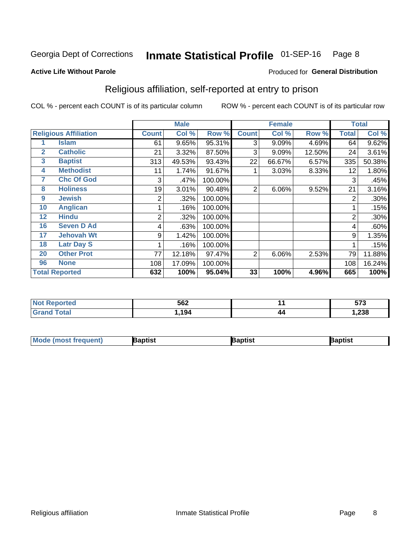#### Inmate Statistical Profile 01-SEP-16 Page 8

#### **Active Life Without Parole**

#### Produced for General Distribution

## Religious affiliation, self-reported at entry to prison

COL % - percent each COUNT is of its particular column

|              |                              | <b>Male</b>  |        |         | <b>Female</b>  |        |        | <b>Total</b>   |         |
|--------------|------------------------------|--------------|--------|---------|----------------|--------|--------|----------------|---------|
|              | <b>Religious Affiliation</b> | <b>Count</b> | Col %  | Row %   | <b>Count</b>   | Col %  | Row %  | <b>Total</b>   | Col %   |
|              | <b>Islam</b>                 | 61           | 9.65%  | 95.31%  | 3              | 9.09%  | 4.69%  | 64             | 9.62%   |
| $\mathbf{2}$ | <b>Catholic</b>              | 21           | 3.32%  | 87.50%  | 3              | 9.09%  | 12.50% | 24             | 3.61%   |
| 3            | <b>Baptist</b>               | 313          | 49.53% | 93.43%  | 22             | 66.67% | 6.57%  | 335            | 50.38%  |
| 4            | <b>Methodist</b>             | 11           | 1.74%  | 91.67%  |                | 3.03%  | 8.33%  | 12             | 1.80%   |
| 7            | <b>Chc Of God</b>            | 3            | .47%   | 100.00% |                |        |        | 3              | .45%    |
| 8            | <b>Holiness</b>              | 19           | 3.01%  | 90.48%  | $\overline{2}$ | 6.06%  | 9.52%  | 21             | 3.16%   |
| 9            | <b>Jewish</b>                | 2            | .32%   | 100.00% |                |        |        | $\overline{2}$ | $.30\%$ |
| 10           | <b>Anglican</b>              |              | .16%   | 100.00% |                |        |        |                | .15%    |
| 12           | <b>Hindu</b>                 | 2            | .32%   | 100.00% |                |        |        | $\overline{2}$ | .30%    |
| 16           | <b>Seven D Ad</b>            | 4            | .63%   | 100.00% |                |        |        | 4              | .60%    |
| 17           | <b>Jehovah Wt</b>            | 9            | 1.42%  | 100.00% |                |        |        | 9              | 1.35%   |
| 18           | <b>Latr Day S</b>            |              | .16%   | 100.00% |                |        |        |                | .15%    |
| 20           | <b>Other Prot</b>            | 77           | 12.18% | 97.47%  | 2              | 6.06%  | 2.53%  | 79             | 11.88%  |
| 96           | <b>None</b>                  | 108          | 17.09% | 100.00% |                |        |        | 108            | 16.24%  |
|              | <b>Total Reported</b>        | 632          | 100%   | 95.04%  | 33             | 100%   | 4.96%  | 665            | 100%    |

| ı teu<br>. | 562  |    | $-70$<br>01 J |
|------------|------|----|---------------|
| _______    | גם ו | 44 | .238          |

| Mod<br>de (most frequent). | 3aptist | aptist | Baptist |
|----------------------------|---------|--------|---------|
|                            |         |        |         |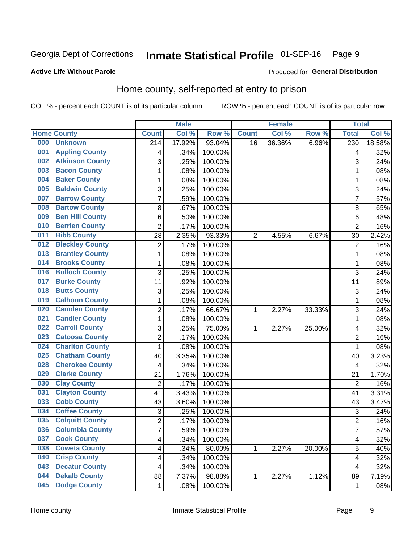#### Inmate Statistical Profile 01-SEP-16 Page 9

#### **Active Life Without Parole**

#### Produced for General Distribution

## Home county, self-reported at entry to prison

COL % - percent each COUNT is of its particular column

|     |                        |                         | <b>Male</b> |         |              | <b>Female</b> |        | <b>Total</b>     |        |
|-----|------------------------|-------------------------|-------------|---------|--------------|---------------|--------|------------------|--------|
|     | <b>Home County</b>     | <b>Count</b>            | Col %       | Row %   | <b>Count</b> | Col %         | Row %  | <b>Total</b>     | Col %  |
| 000 | <b>Unknown</b>         | $\overline{214}$        | 17.92%      | 93.04%  | 16           | 36.36%        | 6.96%  | $\overline{230}$ | 18.58% |
| 001 | <b>Appling County</b>  | 4                       | .34%        | 100.00% |              |               |        | 4                | .32%   |
| 002 | <b>Atkinson County</b> | 3                       | .25%        | 100.00% |              |               |        | 3                | .24%   |
| 003 | <b>Bacon County</b>    | $\mathbf 1$             | .08%        | 100.00% |              |               |        | 1                | .08%   |
| 004 | <b>Baker County</b>    | $\mathbf 1$             | .08%        | 100.00% |              |               |        | 1                | .08%   |
| 005 | <b>Baldwin County</b>  | 3                       | .25%        | 100.00% |              |               |        | 3                | .24%   |
| 007 | <b>Barrow County</b>   | $\overline{7}$          | .59%        | 100.00% |              |               |        | 7                | .57%   |
| 008 | <b>Bartow County</b>   | 8                       | .67%        | 100.00% |              |               |        | 8                | .65%   |
| 009 | <b>Ben Hill County</b> | 6                       | .50%        | 100.00% |              |               |        | 6                | .48%   |
| 010 | <b>Berrien County</b>  | 2                       | .17%        | 100.00% |              |               |        | $\overline{2}$   | .16%   |
| 011 | <b>Bibb County</b>     | 28                      | 2.35%       | 93.33%  | 2            | 4.55%         | 6.67%  | 30               | 2.42%  |
| 012 | <b>Bleckley County</b> | 2                       | .17%        | 100.00% |              |               |        | 2                | .16%   |
| 013 | <b>Brantley County</b> | $\mathbf 1$             | .08%        | 100.00% |              |               |        | 1                | .08%   |
| 014 | <b>Brooks County</b>   | $\mathbf 1$             | .08%        | 100.00% |              |               |        | 1                | .08%   |
| 016 | <b>Bulloch County</b>  | 3                       | .25%        | 100.00% |              |               |        | 3                | .24%   |
| 017 | <b>Burke County</b>    | 11                      | .92%        | 100.00% |              |               |        | 11               | .89%   |
| 018 | <b>Butts County</b>    | 3                       | .25%        | 100.00% |              |               |        | 3                | .24%   |
| 019 | <b>Calhoun County</b>  | $\mathbf 1$             | .08%        | 100.00% |              |               |        | 1                | .08%   |
| 020 | <b>Camden County</b>   | $\overline{2}$          | .17%        | 66.67%  | 1            | 2.27%         | 33.33% | 3                | .24%   |
| 021 | <b>Candler County</b>  | 1                       | .08%        | 100.00% |              |               |        | 1                | .08%   |
| 022 | <b>Carroll County</b>  | 3                       | .25%        | 75.00%  | 1            | 2.27%         | 25.00% | 4                | .32%   |
| 023 | <b>Catoosa County</b>  | $\overline{c}$          | .17%        | 100.00% |              |               |        | $\overline{2}$   | .16%   |
| 024 | <b>Charlton County</b> | $\mathbf{1}$            | .08%        | 100.00% |              |               |        | 1                | .08%   |
| 025 | <b>Chatham County</b>  | 40                      | 3.35%       | 100.00% |              |               |        | 40               | 3.23%  |
| 028 | <b>Cherokee County</b> | 4                       | .34%        | 100.00% |              |               |        | 4                | .32%   |
| 029 | <b>Clarke County</b>   | 21                      | 1.76%       | 100.00% |              |               |        | 21               | 1.70%  |
| 030 | <b>Clay County</b>     | $\overline{2}$          | .17%        | 100.00% |              |               |        | $\overline{2}$   | .16%   |
| 031 | <b>Clayton County</b>  | 41                      | 3.43%       | 100.00% |              |               |        | 41               | 3.31%  |
| 033 | <b>Cobb County</b>     | 43                      | 3.60%       | 100.00% |              |               |        | 43               | 3.47%  |
| 034 | <b>Coffee County</b>   | 3                       | .25%        | 100.00% |              |               |        | 3                | .24%   |
| 035 | <b>Colquitt County</b> | $\overline{2}$          | .17%        | 100.00% |              |               |        | $\overline{2}$   | .16%   |
| 036 | <b>Columbia County</b> | 7                       | .59%        | 100.00% |              |               |        | 7                | .57%   |
| 037 | <b>Cook County</b>     | $\overline{\mathbf{4}}$ | .34%        | 100.00% |              |               |        | 4                | .32%   |
| 038 | <b>Coweta County</b>   | 4                       | .34%        | 80.00%  | 1            | 2.27%         | 20.00% | 5                | .40%   |
| 040 | <b>Crisp County</b>    | 4                       | .34%        | 100.00% |              |               |        | 4                | .32%   |
| 043 | <b>Decatur County</b>  | 4                       | .34%        | 100.00% |              |               |        | 4                | .32%   |
| 044 | <b>Dekalb County</b>   | 88                      | 7.37%       | 98.88%  | 1            | 2.27%         | 1.12%  | 89               | 7.19%  |
| 045 | <b>Dodge County</b>    | 1                       | .08%        | 100.00% |              |               |        | 1                | .08%   |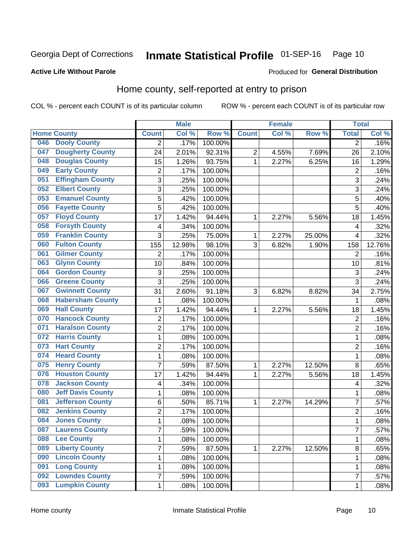## Inmate Statistical Profile 01-SEP-16 Page 10

Produced for General Distribution

#### **Active Life Without Parole**

## Home county, self-reported at entry to prison

COL % - percent each COUNT is of its particular column

|     |                          |                           | <b>Male</b> |         |              | <b>Female</b> |        | <b>Total</b>   |        |
|-----|--------------------------|---------------------------|-------------|---------|--------------|---------------|--------|----------------|--------|
|     | <b>Home County</b>       | <b>Count</b>              | Col %       | Row %   | <b>Count</b> | Col %         | Row %  | <b>Total</b>   | Col%   |
| 046 | <b>Dooly County</b>      | $\overline{2}$            | .17%        | 100.00% |              |               |        | $\overline{2}$ | .16%   |
| 047 | <b>Dougherty County</b>  | 24                        | 2.01%       | 92.31%  | 2            | 4.55%         | 7.69%  | 26             | 2.10%  |
| 048 | <b>Douglas County</b>    | 15                        | 1.26%       | 93.75%  | $\mathbf{1}$ | 2.27%         | 6.25%  | 16             | 1.29%  |
| 049 | <b>Early County</b>      | 2                         | .17%        | 100.00% |              |               |        | $\overline{2}$ | .16%   |
| 051 | <b>Effingham County</b>  | 3                         | .25%        | 100.00% |              |               |        | 3              | .24%   |
| 052 | <b>Elbert County</b>     | 3                         | .25%        | 100.00% |              |               |        | 3              | .24%   |
| 053 | <b>Emanuel County</b>    | 5                         | .42%        | 100.00% |              |               |        | 5              | .40%   |
| 056 | <b>Fayette County</b>    | 5                         | .42%        | 100.00% |              |               |        | 5              | .40%   |
| 057 | <b>Floyd County</b>      | 17                        | 1.42%       | 94.44%  | 1            | 2.27%         | 5.56%  | 18             | 1.45%  |
| 058 | <b>Forsyth County</b>    | 4                         | .34%        | 100.00% |              |               |        | 4              | .32%   |
| 059 | <b>Franklin County</b>   | 3                         | .25%        | 75.00%  | 1            | 2.27%         | 25.00% | 4              | .32%   |
| 060 | <b>Fulton County</b>     | 155                       | 12.98%      | 98.10%  | 3            | 6.82%         | 1.90%  | 158            | 12.76% |
| 061 | <b>Gilmer County</b>     | $\overline{2}$            | .17%        | 100.00% |              |               |        | $\overline{2}$ | .16%   |
| 063 | <b>Glynn County</b>      | 10                        | .84%        | 100.00% |              |               |        | 10             | .81%   |
| 064 | <b>Gordon County</b>     | $\ensuremath{\mathsf{3}}$ | .25%        | 100.00% |              |               |        | $\mathfrak{S}$ | .24%   |
| 066 | <b>Greene County</b>     | 3                         | .25%        | 100.00% |              |               |        | 3              | .24%   |
| 067 | <b>Gwinnett County</b>   | 31                        | 2.60%       | 91.18%  | 3            | 6.82%         | 8.82%  | 34             | 2.75%  |
| 068 | <b>Habersham County</b>  | 1                         | .08%        | 100.00% |              |               |        | 1              | .08%   |
| 069 | <b>Hall County</b>       | 17                        | 1.42%       | 94.44%  | 1            | 2.27%         | 5.56%  | 18             | 1.45%  |
| 070 | <b>Hancock County</b>    | $\overline{2}$            | .17%        | 100.00% |              |               |        | $\overline{2}$ | .16%   |
| 071 | <b>Haralson County</b>   | $\overline{c}$            | .17%        | 100.00% |              |               |        | $\overline{c}$ | .16%   |
| 072 | <b>Harris County</b>     | $\mathbf 1$               | .08%        | 100.00% |              |               |        | 1              | .08%   |
| 073 | <b>Hart County</b>       | $\overline{c}$            | .17%        | 100.00% |              |               |        | $\overline{c}$ | .16%   |
| 074 | <b>Heard County</b>      | $\mathbf 1$               | .08%        | 100.00% |              |               |        | 1              | .08%   |
| 075 | <b>Henry County</b>      | $\overline{7}$            | .59%        | 87.50%  | 1            | 2.27%         | 12.50% | 8              | .65%   |
| 076 | <b>Houston County</b>    | 17                        | 1.42%       | 94.44%  | 1            | 2.27%         | 5.56%  | 18             | 1.45%  |
| 078 | <b>Jackson County</b>    | $\overline{\mathbf{4}}$   | .34%        | 100.00% |              |               |        | 4              | .32%   |
| 080 | <b>Jeff Davis County</b> | $\mathbf 1$               | .08%        | 100.00% |              |               |        | 1              | .08%   |
| 081 | <b>Jefferson County</b>  | 6                         | .50%        | 85.71%  | 1            | 2.27%         | 14.29% | 7              | .57%   |
| 082 | <b>Jenkins County</b>    | $\overline{c}$            | .17%        | 100.00% |              |               |        | $\overline{2}$ | .16%   |
| 084 | <b>Jones County</b>      | $\mathbf 1$               | .08%        | 100.00% |              |               |        | 1              | .08%   |
| 087 | <b>Laurens County</b>    | $\overline{7}$            | .59%        | 100.00% |              |               |        | 7              | .57%   |
| 088 | <b>Lee County</b>        | $\mathbf{1}$              | .08%        | 100.00% |              |               |        | 1              | .08%   |
| 089 | <b>Liberty County</b>    | $\overline{7}$            | .59%        | 87.50%  | 1            | 2.27%         | 12.50% | $\bf 8$        | .65%   |
| 090 | <b>Lincoln County</b>    | $\mathbf 1$               | .08%        | 100.00% |              |               |        | 1              | .08%   |
| 091 | <b>Long County</b>       | $\mathbf 1$               | .08%        | 100.00% |              |               |        | 1              | .08%   |
| 092 | <b>Lowndes County</b>    | 7                         | .59%        | 100.00% |              |               |        | 7              | .57%   |
| 093 | <b>Lumpkin County</b>    | $\mathbf{1}$              | .08%        | 100.00% |              |               |        | 1              | .08%   |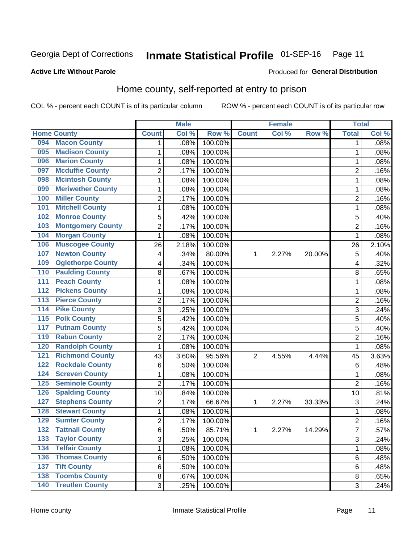## Inmate Statistical Profile 01-SEP-16 Page 11

#### **Active Life Without Parole**

#### Produced for General Distribution

## Home county, self-reported at entry to prison

COL % - percent each COUNT is of its particular column

|                    |                          |                | <b>Male</b> |         |              | <b>Female</b> |        | <b>Total</b>   |       |
|--------------------|--------------------------|----------------|-------------|---------|--------------|---------------|--------|----------------|-------|
| <b>Home County</b> |                          | <b>Count</b>   | Col %       | Row %   | <b>Count</b> | Col%          | Row %  | <b>Total</b>   | Col % |
| 094                | <b>Macon County</b>      | 1              | .08%        | 100.00% |              |               |        | 1              | .08%  |
| 095                | <b>Madison County</b>    | 1              | .08%        | 100.00% |              |               |        | 1              | .08%  |
| 096                | <b>Marion County</b>     | $\mathbf 1$    | .08%        | 100.00% |              |               |        | 1              | .08%  |
| 097                | <b>Mcduffie County</b>   | $\overline{2}$ | .17%        | 100.00% |              |               |        | 2              | .16%  |
| 098                | <b>Mcintosh County</b>   | $\mathbf 1$    | .08%        | 100.00% |              |               |        | 1              | .08%  |
| 099                | <b>Meriwether County</b> | 1              | .08%        | 100.00% |              |               |        | 1              | .08%  |
| 100                | <b>Miller County</b>     | $\overline{2}$ | .17%        | 100.00% |              |               |        | 2              | .16%  |
| 101                | <b>Mitchell County</b>   | 1              | .08%        | 100.00% |              |               |        | 1              | .08%  |
| 102                | <b>Monroe County</b>     | 5              | .42%        | 100.00% |              |               |        | 5              | .40%  |
| 103                | <b>Montgomery County</b> | $\overline{2}$ | .17%        | 100.00% |              |               |        | $\overline{2}$ | .16%  |
| 104                | <b>Morgan County</b>     | $\mathbf 1$    | .08%        | 100.00% |              |               |        | 1              | .08%  |
| 106                | <b>Muscogee County</b>   | 26             | 2.18%       | 100.00% |              |               |        | 26             | 2.10% |
| 107                | <b>Newton County</b>     | 4              | .34%        | 80.00%  | 1            | 2.27%         | 20.00% | 5              | .40%  |
| 109                | <b>Oglethorpe County</b> | 4              | .34%        | 100.00% |              |               |        | 4              | .32%  |
| 110                | <b>Paulding County</b>   | 8              | .67%        | 100.00% |              |               |        | 8              | .65%  |
| 111                | <b>Peach County</b>      | 1              | .08%        | 100.00% |              |               |        | 1              | .08%  |
| $\overline{112}$   | <b>Pickens County</b>    | $\mathbf 1$    | .08%        | 100.00% |              |               |        | 1              | .08%  |
| $\overline{113}$   | <b>Pierce County</b>     | $\overline{2}$ | .17%        | 100.00% |              |               |        | $\overline{c}$ | .16%  |
| $\overline{114}$   | <b>Pike County</b>       | 3              | .25%        | 100.00% |              |               |        | 3              | .24%  |
| 115                | <b>Polk County</b>       | 5              | .42%        | 100.00% |              |               |        | 5              | .40%  |
| 117                | <b>Putnam County</b>     | 5              | .42%        | 100.00% |              |               |        | 5              | .40%  |
| 119                | <b>Rabun County</b>      | $\overline{2}$ | .17%        | 100.00% |              |               |        | $\overline{2}$ | .16%  |
| 120                | <b>Randolph County</b>   | $\mathbf{1}$   | .08%        | 100.00% |              |               |        | 1              | .08%  |
| 121                | <b>Richmond County</b>   | 43             | 3.60%       | 95.56%  | 2            | 4.55%         | 4.44%  | 45             | 3.63% |
| 122                | <b>Rockdale County</b>   | 6              | .50%        | 100.00% |              |               |        | 6              | .48%  |
| 124                | <b>Screven County</b>    | 1              | .08%        | 100.00% |              |               |        | 1              | .08%  |
| 125                | <b>Seminole County</b>   | $\overline{2}$ | .17%        | 100.00% |              |               |        | $\overline{2}$ | .16%  |
| 126                | <b>Spalding County</b>   | 10             | .84%        | 100.00% |              |               |        | 10             | .81%  |
| 127                | <b>Stephens County</b>   | $\overline{2}$ | .17%        | 66.67%  | 1            | 2.27%         | 33.33% | 3              | .24%  |
| 128                | <b>Stewart County</b>    | 1              | .08%        | 100.00% |              |               |        | 1              | .08%  |
| 129                | <b>Sumter County</b>     | $\overline{2}$ | .17%        | 100.00% |              |               |        | $\overline{2}$ | .16%  |
| 132                | <b>Tattnall County</b>   | 6              | .50%        | 85.71%  | 1            | 2.27%         | 14.29% | 7              | .57%  |
| 133                | <b>Taylor County</b>     | 3              | .25%        | 100.00% |              |               |        | 3              | .24%  |
| 134                | <b>Telfair County</b>    | 1              | .08%        | 100.00% |              |               |        | 1              | .08%  |
| 136                | <b>Thomas County</b>     | 6              | .50%        | 100.00% |              |               |        | 6              | .48%  |
| 137                | <b>Tift County</b>       | 6              | .50%        | 100.00% |              |               |        | 6              | .48%  |
| 138                | <b>Toombs County</b>     | 8              | .67%        | 100.00% |              |               |        | 8              | .65%  |
| $\overline{140}$   | <b>Treutlen County</b>   | 3              | .25%        | 100.00% |              |               |        | 3              | .24%  |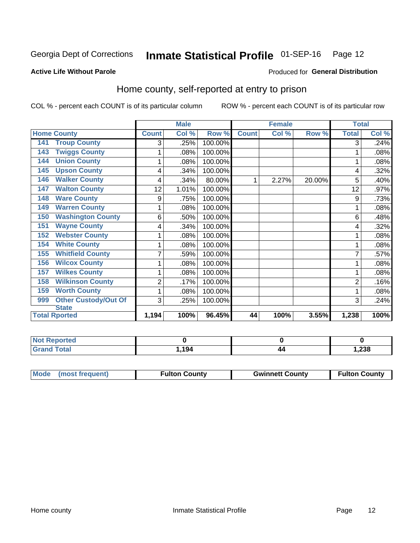## Inmate Statistical Profile 01-SEP-16 Page 12

#### **Active Life Without Parole**

#### Produced for General Distribution

## Home county, self-reported at entry to prison

COL % - percent each COUNT is of its particular column

|                                    |                | <b>Male</b>               |         |              | <b>Female</b> |        | <b>Total</b> |       |
|------------------------------------|----------------|---------------------------|---------|--------------|---------------|--------|--------------|-------|
| <b>Home County</b>                 | <b>Count</b>   | $\overline{\text{Col}}$ % | Row %   | <b>Count</b> | Col %         | Row %  | <b>Total</b> | Col % |
| <b>Troup County</b><br>141         | 3              | .25%                      | 100.00% |              |               |        | 3            | .24%  |
| <b>Twiggs County</b><br>143        |                | .08%                      | 100.00% |              |               |        |              | .08%  |
| <b>Union County</b><br>144         |                | .08%                      | 100.00% |              |               |        |              | .08%  |
| <b>Upson County</b><br>145         | 4              | .34%                      | 100.00% |              |               |        | 4            | .32%  |
| <b>Walker County</b><br>146        | 4              | .34%                      | 80.00%  |              | 2.27%         | 20.00% | 5            | .40%  |
| <b>Walton County</b><br>147        | 12             | 1.01%                     | 100.00% |              |               |        | 12           | .97%  |
| <b>Ware County</b><br>148          | 9              | .75%                      | 100.00% |              |               |        | 9            | .73%  |
| <b>Warren County</b><br>149        | 1              | .08%                      | 100.00% |              |               |        |              | .08%  |
| <b>Washington County</b><br>150    | 6              | .50%                      | 100.00% |              |               |        | 6            | .48%  |
| <b>Wayne County</b><br>151         | 4              | .34%                      | 100.00% |              |               |        | 4            | .32%  |
| <b>Webster County</b><br>152       | 1              | .08%                      | 100.00% |              |               |        |              | .08%  |
| <b>White County</b><br>154         | 1              | .08%                      | 100.00% |              |               |        |              | .08%  |
| <b>Whitfield County</b><br>155     | 7              | .59%                      | 100.00% |              |               |        |              | .57%  |
| <b>Wilcox County</b><br>156        |                | .08%                      | 100.00% |              |               |        |              | .08%  |
| <b>Wilkes County</b><br>157        | 1              | .08%                      | 100.00% |              |               |        |              | .08%  |
| <b>Wilkinson County</b><br>158     | $\overline{2}$ | .17%                      | 100.00% |              |               |        | 2            | .16%  |
| <b>Worth County</b><br>159         |                | .08%                      | 100.00% |              |               |        |              | .08%  |
| <b>Other Custody/Out Of</b><br>999 | 3              | .25%                      | 100.00% |              |               |        | 3            | .24%  |
| <b>State</b>                       |                |                           |         |              |               |        |              |       |
| <b>Total Rported</b>               | 1,194          | 100%                      | 96.45%  | 44           | 100%          | 3.55%  | 1,238        | 100%  |

| <b>Not Reported</b> |       |    |       |
|---------------------|-------|----|-------|
| <b>Total</b>        | 1,194 | 44 | 1,238 |

| Mode (most frequent) | <b>Fulton County</b> | <b>Gwinnett County</b> | <b>Fulton County</b> |
|----------------------|----------------------|------------------------|----------------------|
|                      |                      |                        |                      |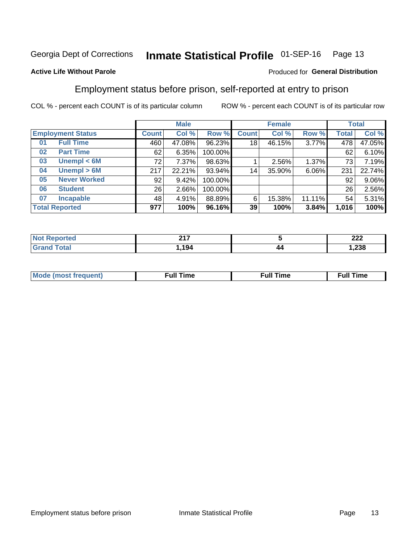#### Inmate Statistical Profile 01-SEP-16 Page 13

#### **Active Life Without Parole**

#### Produced for General Distribution

## Employment status before prison, self-reported at entry to prison

COL % - percent each COUNT is of its particular column

|                          |                     | <b>Male</b>  |        |         | <b>Female</b> |        |        | <b>Total</b> |        |
|--------------------------|---------------------|--------------|--------|---------|---------------|--------|--------|--------------|--------|
| <b>Employment Status</b> |                     | <b>Count</b> | Col %  | Row %   | <b>Count</b>  | Col %  | Row %  | Total        | Col %  |
| <b>Full Time</b><br>01   |                     | 460          | 47.08% | 96.23%  | 18            | 46.15% | 3.77%  | 478          | 47.05% |
| <b>Part Time</b><br>02   |                     | 62           | 6.35%  | 100.00% |               |        |        | 62           | 6.10%  |
| 03                       | Unempl $<$ 6M       | 72           | 7.37%  | 98.63%  |               | 2.56%  | 1.37%  | 73           | 7.19%  |
| 04                       | Unempl > 6M         | 217          | 22.21% | 93.94%  | 14            | 35.90% | 6.06%  | 231          | 22.74% |
| 05                       | <b>Never Worked</b> | 92           | 9.42%  | 100.00% |               |        |        | 92           | 9.06%  |
| <b>Student</b><br>06     |                     | 26           | 2.66%  | 100.00% |               |        |        | 26           | 2.56%  |
| <b>Incapable</b><br>07   |                     | 48           | 4.91%  | 88.89%  | 6             | 15.38% | 11.11% | 54           | 5.31%  |
| <b>Total Reported</b>    |                     | 977          | 100%   | 96.16%  | 39            | 100%   | 3.84%  | 1,016        | 100%   |

| 247<br>- - |    | າາາ<br>LLL   |
|------------|----|--------------|
| .194       | 44 | າາດ<br>7.238 |

| Mc | ∙u∥<br>----<br>ıme | ίuΙ<br>Πmε |
|----|--------------------|------------|
|    |                    |            |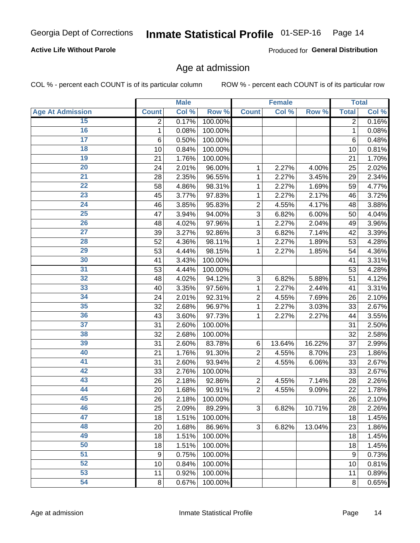#### **Active Life Without Parole**

Produced for General Distribution

### Age at admission

COL % - percent each COUNT is of its particular column

|                         |                 | <b>Male</b> |         |                           | <b>Female</b> |        |                  | <b>Total</b> |
|-------------------------|-----------------|-------------|---------|---------------------------|---------------|--------|------------------|--------------|
| <b>Age At Admission</b> | <b>Count</b>    | Col %       | Row %   | <b>Count</b>              | Col %         | Row %  | <b>Total</b>     | Col %        |
| 15                      | $\overline{2}$  | 0.17%       | 100.00% |                           |               |        | 2                | 0.16%        |
| 16                      | 1               | 0.08%       | 100.00% |                           |               |        | $\mathbf{1}$     | 0.08%        |
| $\overline{17}$         | $6\phantom{1}6$ | 0.50%       | 100.00% |                           |               |        | 6                | 0.48%        |
| 18                      | 10              | 0.84%       | 100.00% |                           |               |        | 10               | 0.81%        |
| 19                      | 21              | 1.76%       | 100.00% |                           |               |        | 21               | 1.70%        |
| $\overline{20}$         | 24              | 2.01%       | 96.00%  | 1                         | 2.27%         | 4.00%  | 25               | 2.02%        |
| 21                      | 28              | 2.35%       | 96.55%  | 1                         | 2.27%         | 3.45%  | 29               | 2.34%        |
| $\overline{22}$         | 58              | 4.86%       | 98.31%  | 1                         | 2.27%         | 1.69%  | 59               | 4.77%        |
| 23                      | 45              | 3.77%       | 97.83%  | 1                         | 2.27%         | 2.17%  | 46               | 3.72%        |
| $\overline{24}$         | 46              | 3.85%       | 95.83%  | $\overline{2}$            | 4.55%         | 4.17%  | 48               | 3.88%        |
| $\overline{25}$         | 47              | 3.94%       | 94.00%  | 3                         | 6.82%         | 6.00%  | 50               | 4.04%        |
| 26                      | 48              | 4.02%       | 97.96%  | 1                         | 2.27%         | 2.04%  | 49               | 3.96%        |
| $\overline{27}$         | 39              | 3.27%       | 92.86%  | 3                         | 6.82%         | 7.14%  | 42               | 3.39%        |
| 28                      | 52              | 4.36%       | 98.11%  | 1                         | 2.27%         | 1.89%  | 53               | 4.28%        |
| 29                      | 53              | 4.44%       | 98.15%  | 1                         | 2.27%         | 1.85%  | 54               | 4.36%        |
| 30                      | 41              | 3.43%       | 100.00% |                           |               |        | 41               | 3.31%        |
| 31                      | 53              | 4.44%       | 100.00% |                           |               |        | 53               | 4.28%        |
| $\overline{32}$         | 48              | 4.02%       | 94.12%  | $\ensuremath{\mathsf{3}}$ | 6.82%         | 5.88%  | 51               | 4.12%        |
| 33                      | 40              | 3.35%       | 97.56%  | 1                         | 2.27%         | 2.44%  | 41               | 3.31%        |
| 34                      | 24              | 2.01%       | 92.31%  | $\overline{2}$            | 4.55%         | 7.69%  | 26               | 2.10%        |
| 35                      | 32              | 2.68%       | 96.97%  | 1                         | 2.27%         | 3.03%  | 33               | 2.67%        |
| 36                      | 43              | 3.60%       | 97.73%  | 1                         | 2.27%         | 2.27%  | 44               | 3.55%        |
| $\overline{37}$         | 31              | 2.60%       | 100.00% |                           |               |        | 31               | 2.50%        |
| 38                      | 32              | 2.68%       | 100.00% |                           |               |        | 32               | 2.58%        |
| 39                      | 31              | 2.60%       | 83.78%  | 6                         | 13.64%        | 16.22% | 37               | 2.99%        |
| 40                      | 21              | 1.76%       | 91.30%  | 2                         | 4.55%         | 8.70%  | 23               | 1.86%        |
| 41                      | 31              | 2.60%       | 93.94%  | $\overline{2}$            | 4.55%         | 6.06%  | 33               | 2.67%        |
| 42                      | 33              | 2.76%       | 100.00% |                           |               |        | 33               | 2.67%        |
| 43                      | 26              | 2.18%       | 92.86%  | $\mathbf 2$               | 4.55%         | 7.14%  | 28               | 2.26%        |
| 44                      | 20              | 1.68%       | 90.91%  | $\overline{2}$            | 4.55%         | 9.09%  | 22               | 1.78%        |
| 45                      | 26              | 2.18%       | 100.00% |                           |               |        | 26               | 2.10%        |
| 46                      | 25              | 2.09%       | 89.29%  | $\sqrt{3}$                | 6.82%         | 10.71% | 28               | 2.26%        |
| 47                      | 18              | 1.51%       | 100.00% |                           |               |        | 18               | 1.45%        |
| 48                      | 20              | 1.68%       | 86.96%  | 3                         | 6.82%         | 13.04% | 23               | 1.86%        |
| 49                      | 18              | 1.51%       | 100.00% |                           |               |        | 18               | 1.45%        |
| 50                      | 18              | 1.51%       | 100.00% |                           |               |        | 18               | 1.45%        |
| $\overline{51}$         | 9               | 0.75%       | 100.00% |                           |               |        | $\boldsymbol{9}$ | 0.73%        |
| 52                      | 10              | 0.84%       | 100.00% |                           |               |        | 10               | 0.81%        |
| 53                      | 11              | 0.92%       | 100.00% |                           |               |        | 11               | 0.89%        |
| 54                      | $\,8\,$         | 0.67%       | 100.00% |                           |               |        | 8                | 0.65%        |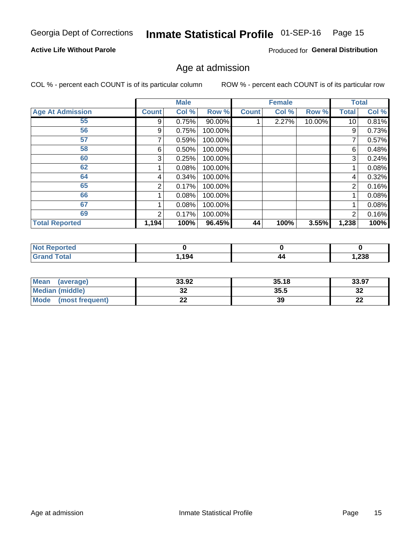## Inmate Statistical Profile 01-SEP-16 Page 15

#### **Active Life Without Parole**

Produced for General Distribution

### Age at admission

COL % - percent each COUNT is of its particular column

|                         |              | <b>Male</b> |           |              | <b>Female</b> |        |                 | <b>Total</b> |
|-------------------------|--------------|-------------|-----------|--------------|---------------|--------|-----------------|--------------|
| <b>Age At Admission</b> | <b>Count</b> | Col %       | Row %     | <b>Count</b> | Col %         | Row %  | Total           | Col %        |
| 55                      | 9            | 0.75%       | $90.00\%$ |              | 2.27%         | 10.00% | 10 <sup>1</sup> | 0.81%        |
| 56                      | 9            | 0.75%       | 100.00%   |              |               |        | 9               | 0.73%        |
| 57                      |              | 0.59%       | 100.00%   |              |               |        | 7               | 0.57%        |
| 58                      | 6            | 0.50%       | 100.00%   |              |               |        | 6               | 0.48%        |
| 60                      | 3            | 0.25%       | 100.00%   |              |               |        | 3               | 0.24%        |
| 62                      |              | 0.08%       | 100.00%   |              |               |        |                 | 0.08%        |
| 64                      | 4            | 0.34%       | 100.00%   |              |               |        | 4               | 0.32%        |
| 65                      | 2            | 0.17%       | 100.00%   |              |               |        | 2               | 0.16%        |
| 66                      |              | 0.08%       | 100.00%   |              |               |        |                 | 0.08%        |
| 67                      |              | 0.08%       | 100.00%   |              |               |        |                 | 0.08%        |
| 69                      | 2            | 0.17%       | 100.00%   |              |               |        | 2               | 0.16%        |
| <b>Total Reported</b>   | 1,194        | 100%        | 96.45%    | 44           | 100%          | 3.55%  | 1,238           | 100%         |

| <b>Not Reported</b>  |      |    |       |
|----------------------|------|----|-------|
| <b>Total</b><br>Grar | ,194 | 44 | 1,238 |

| Mean<br>(average)       | 33.92             | 35.18 | 33.97    |
|-------------------------|-------------------|-------|----------|
| Median (middle)         | JŁ                | 35.5  | ົ<br>∠ت  |
| Mode<br>(most frequent) | ^^<br><u>. . </u> | 39    | n.<br>LL |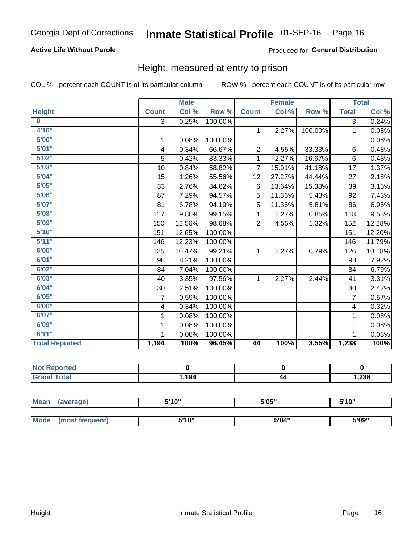#### **Active Life Without Parole**

#### Produced for General Distribution

### Height, measured at entry to prison

COL % - percent each COUNT is of its particular column

|                       |                | <b>Male</b> |         |                | <b>Female</b>              |         |                | <b>Total</b> |
|-----------------------|----------------|-------------|---------|----------------|----------------------------|---------|----------------|--------------|
| <b>Height</b>         | <b>Count</b>   | Col %       | Row %   | <b>Count</b>   | $\overline{\text{Col }^9}$ | Row %   | <b>Total</b>   | Col %        |
| $\bf{0}$              | $\overline{3}$ | 0.25%       | 100.00% |                |                            |         | 3              | 0.24%        |
| 4'10"                 |                |             |         | $\mathbf{1}$   | 2.27%                      | 100.00% | 1              | 0.08%        |
| 5'00''                | 1              | 0.08%       | 100.00% |                |                            |         | 1              | 0.08%        |
| 5'01"                 | 4              | 0.34%       | 66.67%  | $\overline{2}$ | 4.55%                      | 33.33%  | 6              | 0.48%        |
| 5'02"                 | 5              | 0.42%       | 83.33%  | 1              | 2.27%                      | 16.67%  | 6              | 0.48%        |
| 5'03''                | 10             | 0.84%       | 58.82%  | $\overline{7}$ | 15.91%                     | 41.18%  | 17             | 1.37%        |
| 5'04"                 | 15             | 1.26%       | 55.56%  | 12             | 27.27%                     | 44.44%  | 27             | 2.18%        |
| 5'05"                 | 33             | 2.76%       | 84.62%  | 6              | 13.64%                     | 15.38%  | 39             | 3.15%        |
| 5'06''                | 87             | 7.29%       | 94.57%  | 5              | 11.36%                     | 5.43%   | 92             | 7.43%        |
| 5'07''                | 81             | 6.78%       | 94.19%  | 5              | 11.36%                     | 5.81%   | 86             | 6.95%        |
| 5'08''                | 117            | 9.80%       | 99.15%  | 1              | 2.27%                      | 0.85%   | 118            | 9.53%        |
| 5'09''                | 150            | 12.56%      | 98.68%  | $\overline{2}$ | 4.55%                      | 1.32%   | 152            | 12.28%       |
| 5'10''                | 151            | 12.65%      | 100.00% |                |                            |         | 151            | 12.20%       |
| 5'11"                 | 146            | 12.23%      | 100.00% |                |                            |         | 146            | 11.79%       |
| 6'00''                | 125            | 10.47%      | 99.21%  | $\mathbf{1}$   | 2.27%                      | 0.79%   | 126            | 10.18%       |
| 6'01''                | 98             | 8.21%       | 100.00% |                |                            |         | 98             | 7.92%        |
| 6'02"                 | 84             | 7.04%       | 100.00% |                |                            |         | 84             | 6.79%        |
| 6'03''                | 40             | 3.35%       | 97.56%  | $\mathbf{1}$   | 2.27%                      | 2.44%   | 41             | 3.31%        |
| 6'04"                 | 30             | 2.51%       | 100.00% |                |                            |         | 30             | 2.42%        |
| 6'05"                 | 7              | 0.59%       | 100.00% |                |                            |         | $\overline{7}$ | 0.57%        |
| 6'06''                | 4              | 0.34%       | 100.00% |                |                            |         | $\overline{4}$ | 0.32%        |
| 6'07''                | 1              | 0.08%       | 100.00% |                |                            |         | 1              | 0.08%        |
| 6'09''                | 1              | 0.08%       | 100.00% |                |                            |         | 1              | 0.08%        |
| 6'11''                |                | 0.08%       | 100.00% |                |                            |         |                | 0.08%        |
| <b>Total Reported</b> | 1,194          | 100%        | 96.45%  | 44             | 100%                       | 3.55%   | 1,238          | 100%         |

| Not Reported            |      |    |      |
|-------------------------|------|----|------|
| $f$ $f \circ f \circ f$ | .194 | 44 | ,238 |

| <b>Mean</b> | (average)       | 5'10" | 5'05" | 5'10" |
|-------------|-----------------|-------|-------|-------|
|             |                 |       |       |       |
| Mode        | (most frequent) | 5'10" | 5'04" | 5'09" |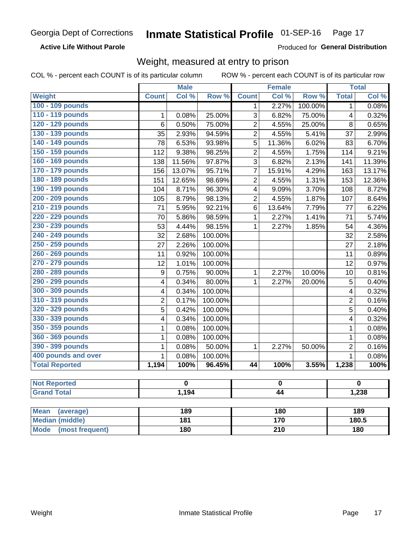**Active Life Without Parole** 

Produced for General Distribution

## Weight, measured at entry to prison

COL % - percent each COUNT is of its particular column

ROW % - percent each COUNT is of its particular row

|                          |                         | <b>Male</b>             |         |                         | <b>Female</b> |         |                | <b>Total</b>            |  |
|--------------------------|-------------------------|-------------------------|---------|-------------------------|---------------|---------|----------------|-------------------------|--|
| <b>Weight</b>            | <b>Count</b>            | Col %                   | Row %   | <b>Count</b>            | Col %         | Row %   | <b>Total</b>   | Col %                   |  |
| 100 - 109 pounds         |                         |                         |         | 1                       | 2.27%         | 100.00% | 1              | 0.08%                   |  |
| 110 - 119 pounds         | 1                       | 0.08%                   | 25.00%  | 3                       | 6.82%         | 75.00%  | 4              | 0.32%                   |  |
| 120 - 129 pounds         | $6\phantom{1}6$         | 0.50%                   | 75.00%  | $\overline{c}$          | 4.55%         | 25.00%  | 8              | 0.65%                   |  |
| 130 - 139 pounds         | 35                      | 2.93%                   | 94.59%  | $\overline{2}$          | 4.55%         | 5.41%   | 37             | 2.99%                   |  |
| 140 - 149 pounds         | 78                      | 6.53%                   | 93.98%  | 5                       | 11.36%        | 6.02%   | 83             | 6.70%                   |  |
| 150 - 159 pounds         | 112                     | 9.38%                   | 98.25%  | $\overline{2}$          | 4.55%         | 1.75%   | 114            | 9.21%                   |  |
| 160 - 169 pounds         | 138                     | 11.56%                  | 97.87%  | 3                       | 6.82%         | 2.13%   | 141            | 11.39%                  |  |
| 170 - 179 pounds         | 156                     | 13.07%                  | 95.71%  | $\overline{7}$          | 15.91%        | 4.29%   | 163            | 13.17%                  |  |
| 180 - 189 pounds         | 151                     | 12.65%                  | 98.69%  | $\overline{2}$          | 4.55%         | 1.31%   | 153            | 12.36%                  |  |
| 190 - 199 pounds         | 104                     | 8.71%                   | 96.30%  | $\overline{\mathbf{4}}$ | 9.09%         | 3.70%   | 108            | 8.72%                   |  |
| 200 - 209 pounds         | 105                     | 8.79%                   | 98.13%  | $\overline{2}$          | 4.55%         | 1.87%   | 107            | 8.64%                   |  |
| 210 - 219 pounds         | 71                      | 5.95%                   | 92.21%  | 6                       | 13.64%        | 7.79%   | 77             | 6.22%                   |  |
| 220 - 229 pounds         | 70                      | 5.86%                   | 98.59%  | $\mathbf{1}$            | 2.27%         | 1.41%   | 71             | 5.74%                   |  |
| 230 - 239 pounds         | 53                      | 4.44%                   | 98.15%  | $\mathbf{1}$            | 2.27%         | 1.85%   | 54             | 4.36%                   |  |
| 240 - 249 pounds         | 32                      | 2.68%                   | 100.00% |                         |               |         | 32             | 2.58%                   |  |
| 250 - 259 pounds         | 27                      | 2.26%                   | 100.00% |                         |               |         | 27             | 2.18%                   |  |
| 260 - 269 pounds         | 11                      | 0.92%                   | 100.00% |                         |               |         | 11             | 0.89%                   |  |
| 270 - 279 pounds         | 12                      | 1.01%                   | 100.00% |                         |               |         | 12             | 0.97%                   |  |
| 280 - 289 pounds         | 9                       | 0.75%                   | 90.00%  | $\mathbf{1}$            | 2.27%         | 10.00%  | 10             | 0.81%                   |  |
| 290 - 299 pounds         | 4                       | 0.34%                   | 80.00%  | $\mathbf{1}$            | 2.27%         | 20.00%  | 5              | 0.40%                   |  |
| 300 - 309 pounds         | 4                       | 0.34%                   | 100.00% |                         |               |         | 4              | 0.32%                   |  |
| 310 - 319 pounds         | $\overline{2}$          | 0.17%                   | 100.00% |                         |               |         | $\overline{2}$ | 0.16%                   |  |
| 320 - 329 pounds         | $\overline{5}$          | 0.42%                   | 100.00% |                         |               |         | 5              | 0.40%                   |  |
| 330 - 339 pounds         | $\overline{\mathbf{4}}$ | 0.34%                   | 100.00% |                         |               |         | 4              | 0.32%                   |  |
| 350 - 359 pounds         | 1                       | 0.08%                   | 100.00% |                         |               |         | 1              | 0.08%                   |  |
| 360 - 369 pounds         | $\mathbf 1$             | 0.08%                   | 100.00% |                         |               |         | $\mathbf 1$    | 0.08%                   |  |
| 390 - 399 pounds         | 1                       | 0.08%                   | 50.00%  | $\mathbf{1}$            | 2.27%         | 50.00%  | $\overline{2}$ | 0.16%                   |  |
| 400 pounds and over      | $\overline{1}$          | 0.08%                   | 100.00% |                         |               |         | $\overline{1}$ | 0.08%                   |  |
| <b>Total Reported</b>    | 1,194                   | 100%                    | 96.45%  | 44                      | 100%          | 3.55%   | 1,238          | 100%                    |  |
|                          |                         |                         |         |                         |               |         |                |                         |  |
| <b>Not Reported</b>      |                         | $\overline{\mathbf{0}}$ |         | $\pmb{0}$               |               |         |                | $\overline{\mathbf{0}}$ |  |
| <b>Grand Total</b>       |                         | 1,194                   |         | 44                      |               |         | 1,238          |                         |  |
|                          |                         |                         |         |                         |               |         |                |                         |  |
| <b>Mean</b><br>(average) |                         | 189                     |         |                         | 180           |         |                | 189                     |  |
| <b>Median (middle)</b>   |                         | 181                     |         |                         | 170           |         | 180.5          |                         |  |

**Mode** 

(most frequent)

**180** 

 $\overline{210}$ 

 $180$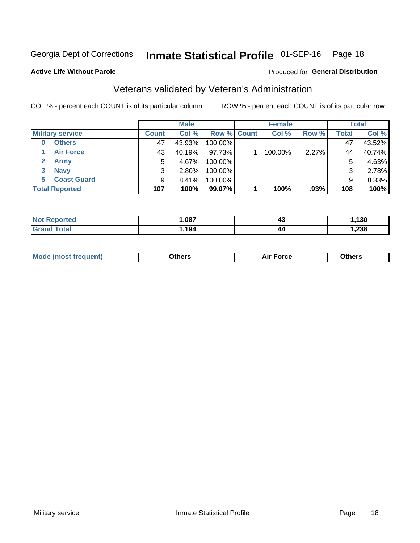## Inmate Statistical Profile 01-SEP-16 Page 18

#### **Active Life Without Parole**

#### Produced for General Distribution

## Veterans validated by Veteran's Administration

COL % - percent each COUNT is of its particular column

|                          |              | <b>Male</b> |             | <b>Female</b> |       |              | <b>Total</b> |
|--------------------------|--------------|-------------|-------------|---------------|-------|--------------|--------------|
| <b>Military service</b>  | <b>Count</b> | Col %       | Row % Count | Col %         | Row % | <b>Total</b> | Col %        |
| <b>Others</b><br>0       | 47           | 43.93%      | 100.00%     |               |       | 47           | 43.52%       |
| <b>Air Force</b>         | 43           | 40.19%      | 97.73%      | 100.00%       | 2.27% | 44           | 40.74%       |
| <b>Army</b>              | 5            | 4.67%       | 100.00%     |               |       | 5            | 4.63%        |
| <b>Navy</b><br>3         |              | $2.80\%$    | 100.00%     |               |       | 3            | 2.78%        |
| <b>Coast Guard</b><br>5. |              | 8.41%       | 100.00%     |               |       | 9            | 8.33%        |
| <b>Total Reported</b>    | 107          | 100%        | 99.07%      | 100%          | .93%  | 108          | 100%         |

| rtea : | ,087 | 40 | 130  |
|--------|------|----|------|
| Гоtal  | .194 | 44 | ,238 |

| Mo<br>m | ∖‡h∧rc<br>____ | $-0.002$<br>28 F T<br>UI CE | <b>Others</b><br>____ |
|---------|----------------|-----------------------------|-----------------------|
|         |                |                             |                       |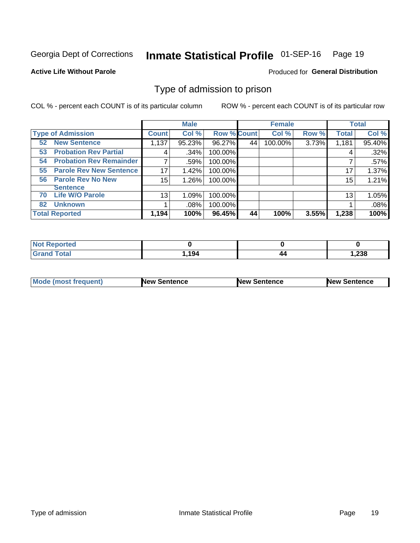#### Inmate Statistical Profile 01-SEP-16 Page 19

**Active Life Without Parole** 

Produced for General Distribution

## Type of admission to prison

COL % - percent each COUNT is of its particular column

|                                      |              | <b>Male</b> |                    |    | <b>Female</b> |       |              | <b>Total</b> |
|--------------------------------------|--------------|-------------|--------------------|----|---------------|-------|--------------|--------------|
| <b>Type of Admission</b>             | <b>Count</b> | Col %       | <b>Row % Count</b> |    | Col %         | Row % | <b>Total</b> | Col %        |
| <b>52 New Sentence</b>               | 1,137        | 95.23%      | 96.27%             | 44 | 100.00%       | 3.73% | 1,181        | 95.40%       |
| <b>Probation Rev Partial</b><br>53   | 4            | .34%        | 100.00%            |    |               |       | 4            | .32%         |
| <b>Probation Rev Remainder</b><br>54 |              | .59%        | 100.00%            |    |               |       |              | .57%         |
| <b>Parole Rev New Sentence</b><br>55 | 17           | 1.42%       | 100.00%            |    |               |       | 17           | 1.37%        |
| <b>Parole Rev No New</b><br>56       | 15           | 1.26%       | 100.00%            |    |               |       | 15           | 1.21%        |
| <b>Sentence</b>                      |              |             |                    |    |               |       |              |              |
| <b>Life W/O Parole</b><br>70         | 13           | 1.09%       | 100.00%            |    |               |       | 13           | 1.05%        |
| <b>Unknown</b><br>82                 |              | $.08\%$     | 100.00%            |    |               |       |              | .08%         |
| <b>Total Reported</b>                | 1,194        | 100%        | 96.45%             | 44 | 100%          | 3.55% | 1,238        | 100%         |

| Reported<br><b>NOT</b> |      |       |
|------------------------|------|-------|
| <b>Total</b><br>"Gran. | .194 | 238،، |

| Mode (most frequent) | <b>New Sentence</b> | <b>New Sentence</b> | <b>New Sentence</b> |
|----------------------|---------------------|---------------------|---------------------|
|                      |                     |                     |                     |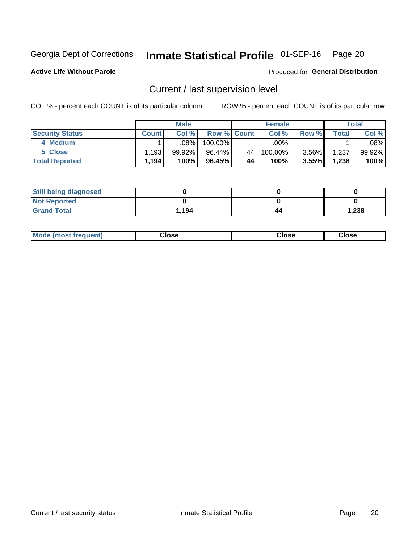## Inmate Statistical Profile 01-SEP-16 Page 20

**Active Life Without Parole** 

Produced for General Distribution

## Current / last supervision level

COL % - percent each COUNT is of its particular column

|                        |              | <b>Male</b> |                    |    | <b>Female</b> |          |       | <b>Total</b> |
|------------------------|--------------|-------------|--------------------|----|---------------|----------|-------|--------------|
| <b>Security Status</b> | <b>Count</b> | Col%        | <b>Row % Count</b> |    | Col %         | Row %    | Total | Col %        |
| 4 Medium               |              | .08%        | 100.00%            |    | .00%          |          |       | .08%         |
| 5 Close                | .193         | 99.92%      | 96.44%             | 44 | 100.00%       | $3.56\%$ | 1,237 | 99.92%       |
| <b>Total Reported</b>  | .194         | 100%        | 96.45%             | 44 | 100%          | 3.55%    | 1,238 | 100%         |

| <b>Still being diagnosed</b> |       |    |       |
|------------------------------|-------|----|-------|
| <b>Not Reported</b>          |       |    |       |
| <b>Grand Total</b>           | 1.194 | 44 | 1,238 |

| <b>Mode (most frequent)</b> | Close | ∵lose | Close |
|-----------------------------|-------|-------|-------|
|                             |       |       |       |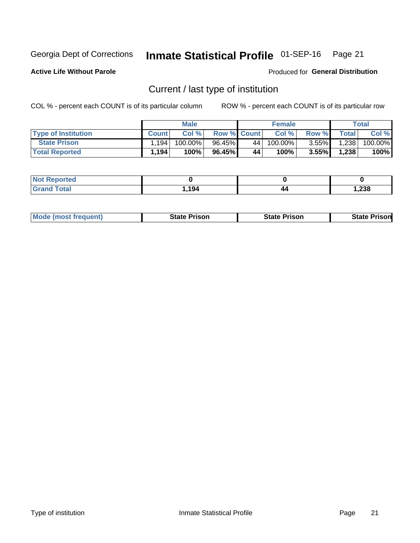#### Inmate Statistical Profile 01-SEP-16 Page 21

**Active Life Without Parole** 

Produced for General Distribution

## Current / last type of institution

COL % - percent each COUNT is of its particular column

|                            |              | <b>Male</b> |                    |      | <b>Female</b> |          |              | Total   |
|----------------------------|--------------|-------------|--------------------|------|---------------|----------|--------------|---------|
| <b>Type of Institution</b> | <b>Count</b> | Col %       | <b>Row % Count</b> |      | Col %         | Row %    | <b>Total</b> | Col %   |
| <b>State Prison</b>        | .194         | 100.00%     | 96.45%             | 44 ! | $100.00\%$    | $3.55\%$ | 1,238        | 100.00% |
| <b>Total Reported</b>      | 1,194        | 100%        | 96.45%             | 44   | 100%          | 3.55%    | 1,238        | 100%    |

| 'ted<br>. |      |    |       |
|-----------|------|----|-------|
|           | ,194 | 44 | 1,238 |

|  | <b>Mode (most frequent)</b> | State Prison | <b>State Prison</b> | <b>State Prison</b> |
|--|-----------------------------|--------------|---------------------|---------------------|
|--|-----------------------------|--------------|---------------------|---------------------|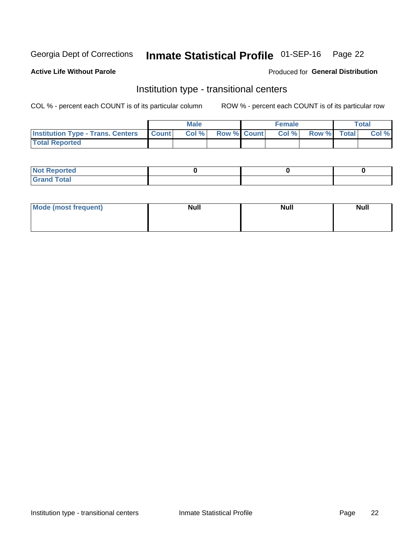## Inmate Statistical Profile 01-SEP-16 Page 22

#### **Active Life Without Parole**

#### Produced for General Distribution

## Institution type - transitional centers

COL % - percent each COUNT is of its particular column

|                                                | Male  |                    | <b>Female</b> |                   | Total |
|------------------------------------------------|-------|--------------------|---------------|-------------------|-------|
| <b>Institution Type - Trans. Centers Count</b> | Col % | <b>Row % Count</b> |               | Col % Row % Total | Col % |
| <b>Total Reported</b>                          |       |                    |               |                   |       |

| <b>Reported</b><br><b>NOT</b><br>$\sim$            |  |  |
|----------------------------------------------------|--|--|
| $f$ $f \circ f \circ f$<br>$C = 1$<br><b>TULAI</b> |  |  |

| Mode (most frequent) | <b>Null</b> | <b>Null</b> | <b>Null</b> |
|----------------------|-------------|-------------|-------------|
|                      |             |             |             |
|                      |             |             |             |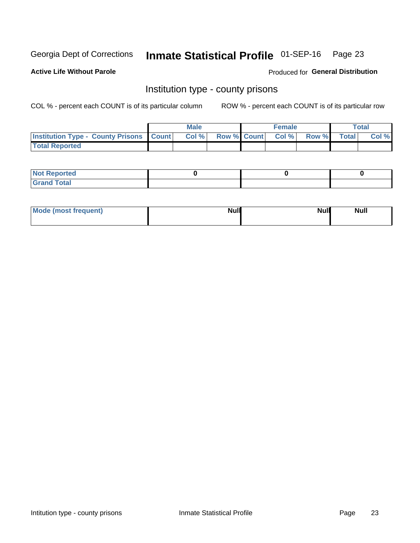## Inmate Statistical Profile 01-SEP-16 Page 23

**Active Life Without Parole** 

Produced for General Distribution

### Institution type - county prisons

COL % - percent each COUNT is of its particular column

|                                                    | <b>Male</b> |       |  | <b>Female</b> |                          |             | <b>Total</b> |       |
|----------------------------------------------------|-------------|-------|--|---------------|--------------------------|-------------|--------------|-------|
| <b>Institution Type - County Prisons   Count  </b> |             | Col % |  |               | <b>Row % Count Col %</b> | Row % Total |              | Col % |
| <b>Total Reported</b>                              |             |       |  |               |                          |             |              |       |

| <b>Not Reported</b>   |  |  |
|-----------------------|--|--|
| <b>Total</b><br>Granc |  |  |

| Mode (most frequent) | <b>Null</b> | <b>Null</b><br><b>Null</b> |
|----------------------|-------------|----------------------------|
|                      |             |                            |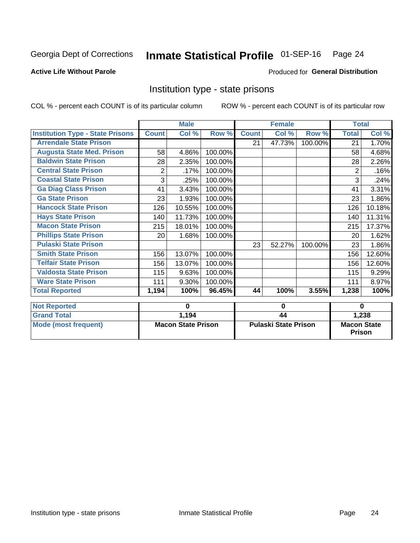## Inmate Statistical Profile 01-SEP-16 Page 24

#### **Active Life Without Parole**

#### Produced for General Distribution

### Institution type - state prisons

|                                         | <b>Male</b>               |        |         | <b>Female</b>               |        |         | <b>Total</b>                 |        |
|-----------------------------------------|---------------------------|--------|---------|-----------------------------|--------|---------|------------------------------|--------|
| <b>Institution Type - State Prisons</b> | <b>Count</b>              | Col %  | Row %   | <b>Count</b>                | Col %  | Row %   | <b>Total</b>                 | Col %  |
| <b>Arrendale State Prison</b>           |                           |        |         | 21                          | 47.73% | 100.00% | 21                           | 1.70%  |
| <b>Augusta State Med. Prison</b>        | 58                        | 4.86%  | 100.00% |                             |        |         | 58                           | 4.68%  |
| <b>Baldwin State Prison</b>             | 28                        | 2.35%  | 100.00% |                             |        |         | 28                           | 2.26%  |
| <b>Central State Prison</b>             | $\overline{2}$            | .17%   | 100.00% |                             |        |         | 2                            | .16%   |
| <b>Coastal State Prison</b>             | 3                         | .25%   | 100.00% |                             |        |         | 3                            | .24%   |
| <b>Ga Diag Class Prison</b>             | 41                        | 3.43%  | 100.00% |                             |        |         | 41                           | 3.31%  |
| <b>Ga State Prison</b>                  | 23                        | 1.93%  | 100.00% |                             |        |         | 23                           | 1.86%  |
| <b>Hancock State Prison</b>             | 126                       | 10.55% | 100.00% |                             |        |         | 126                          | 10.18% |
| <b>Hays State Prison</b>                | 140                       | 11.73% | 100.00% |                             |        |         | 140                          | 11.31% |
| <b>Macon State Prison</b>               | 215                       | 18.01% | 100.00% |                             |        |         | 215                          | 17.37% |
| <b>Phillips State Prison</b>            | 20                        | 1.68%  | 100.00% |                             |        |         | 20                           | 1.62%  |
| <b>Pulaski State Prison</b>             |                           |        |         | 23                          | 52.27% | 100.00% | 23                           | 1.86%  |
| <b>Smith State Prison</b>               | 156                       | 13.07% | 100.00% |                             |        |         | 156                          | 12.60% |
| <b>Telfair State Prison</b>             | 156                       | 13.07% | 100.00% |                             |        |         | 156                          | 12.60% |
| <b>Valdosta State Prison</b>            | 115                       | 9.63%  | 100.00% |                             |        |         | 115                          | 9.29%  |
| <b>Ware State Prison</b>                | 111                       | 9.30%  | 100.00% |                             |        |         | 111                          | 8.97%  |
| <b>Total Reported</b>                   | 1,194                     | 100%   | 96.45%  | 44                          | 100%   | 3.55%   | 1,238                        | 100%   |
| <b>Not Reported</b>                     |                           | 0      |         |                             |        |         | $\bf{0}$                     |        |
| <b>Grand Total</b>                      |                           |        |         | 0                           |        |         |                              |        |
|                                         |                           | 1,194  |         | 44                          |        |         | 1,238                        |        |
| <b>Mode (most frequent)</b>             | <b>Macon State Prison</b> |        |         | <b>Pulaski State Prison</b> |        |         | <b>Macon State</b><br>Prison |        |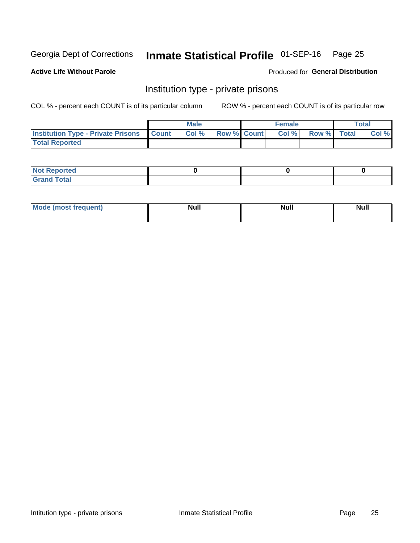## Inmate Statistical Profile 01-SEP-16 Page 25

**Active Life Without Parole** 

Produced for General Distribution

## Institution type - private prisons

COL % - percent each COUNT is of its particular column

|                                                 | <b>Male</b> |      |                    | <b>Female</b> | Total       |  |       |
|-------------------------------------------------|-------------|------|--------------------|---------------|-------------|--|-------|
| <b>Institution Type - Private Prisons Count</b> |             | Col% | <b>Row % Count</b> | Col %         | Row % Total |  | Col % |
| <b>Total Reported</b>                           |             |      |                    |               |             |  |       |

| <b>Reported</b><br><b>NOT</b><br>$\sim$            |  |  |
|----------------------------------------------------|--|--|
| $f$ $f \circ f \circ f$<br>$C = 1$<br><b>TULAI</b> |  |  |

| <b>Mo</b><br>frequent) | <b>Null</b> | <b>Null</b> | . . I *<br><b>IVUII</b> |
|------------------------|-------------|-------------|-------------------------|
|                        |             |             |                         |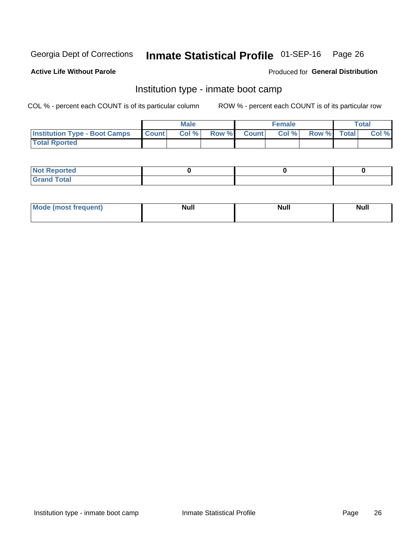#### Inmate Statistical Profile 01-SEP-16 Page 26

#### **Active Life Without Parole**

#### Produced for General Distribution

## Institution type - inmate boot camp

COL % - percent each COUNT is of its particular column

|                                      | <b>Male</b>  |       |               |              | <b>Female</b> | <b>Total</b> |  |       |
|--------------------------------------|--------------|-------|---------------|--------------|---------------|--------------|--|-------|
| <b>Institution Type - Boot Camps</b> | <b>Count</b> | Col % | <b>Row %I</b> | <b>Count</b> | Col %         | Row % Total  |  | Col % |
| <b>Total Rported</b>                 |              |       |               |              |               |              |  |       |

| <b>Not Reported</b>            |  |  |
|--------------------------------|--|--|
| <b>Total</b><br>C <sub>r</sub> |  |  |

| Mod<br>uamo | Nul.<br>$- - - - - -$ | <b>Null</b> | <br>uu.<br>------ |
|-------------|-----------------------|-------------|-------------------|
|             |                       |             |                   |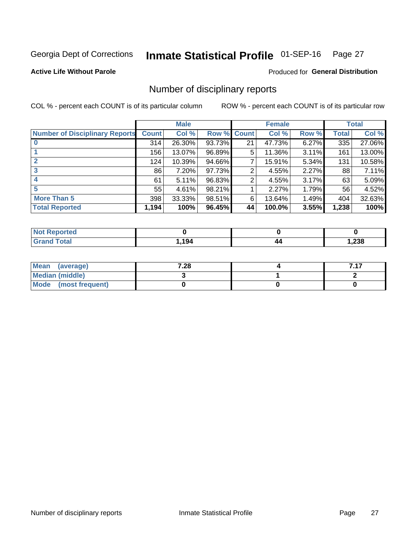#### Inmate Statistical Profile 01-SEP-16 Page 27

**Active Life Without Parole** 

Produced for General Distribution

## Number of disciplinary reports

COL % - percent each COUNT is of its particular column

|                                       | <b>Male</b>  |        |        | <b>Female</b> |        |       | <b>Total</b> |        |
|---------------------------------------|--------------|--------|--------|---------------|--------|-------|--------------|--------|
| <b>Number of Disciplinary Reports</b> | <b>Count</b> | Col %  |        | Row % Count   | Col %  | Row % | Total        | Col %  |
|                                       | 314          | 26.30% | 93.73% | 21            | 47.73% | 6.27% | 335          | 27.06% |
|                                       | 156          | 13.07% | 96.89% | 5             | 11.36% | 3.11% | 161          | 13.00% |
| $\mathbf{2}$                          | 124          | 10.39% | 94.66% | 7             | 15.91% | 5.34% | 131          | 10.58% |
| 3                                     | 86           | 7.20%  | 97.73% | 2             | 4.55%  | 2.27% | 88           | 7.11%  |
|                                       | 61           | 5.11%  | 96.83% | 2             | 4.55%  | 3.17% | 63           | 5.09%  |
| 5                                     | 55           | 4.61%  | 98.21% |               | 2.27%  | 1.79% | 56           | 4.52%  |
| <b>More Than 5</b>                    | 398          | 33.33% | 98.51% | 6             | 13.64% | 1.49% | 404          | 32.63% |
| <b>Total Reported</b>                 | 1,194        | 100%   | 96.45% | 44            | 100.0% | 3.55% | 1,238        | 100%   |

| NO<br>тео |      |    |       |
|-----------|------|----|-------|
| Гоtal     | ,194 | 44 | 238,، |

| Mean (average)       | 7.28 |  |
|----------------------|------|--|
| Median (middle)      |      |  |
| Mode (most frequent) |      |  |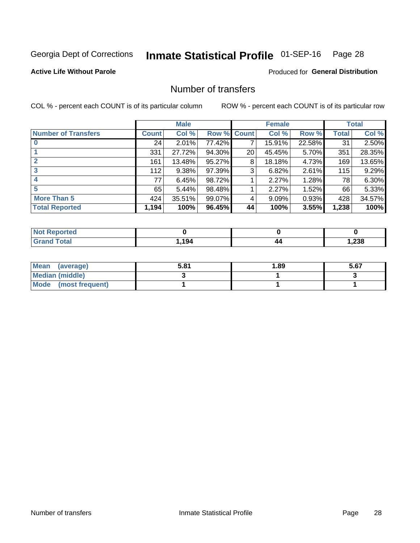## Inmate Statistical Profile 01-SEP-16 Page 28

#### **Active Life Without Parole**

#### **Produced for General Distribution**

## Number of transfers

COL % - percent each COUNT is of its particular column

|                            | <b>Male</b> |        | <b>Female</b> |                 |        | <b>Total</b> |       |        |
|----------------------------|-------------|--------|---------------|-----------------|--------|--------------|-------|--------|
| <b>Number of Transfers</b> | Count l     | Col %  | Row % Count   |                 | Col %  | Row %        | Total | Col %  |
|                            | 24          | 2.01%  | 77.42%        |                 | 15.91% | 22.58%       | 31    | 2.50%  |
|                            | 331         | 27.72% | 94.30%        | 20 <sub>1</sub> | 45.45% | 5.70%        | 351   | 28.35% |
| $\mathbf{2}$               | 161         | 13.48% | 95.27%        | 8               | 18.18% | 4.73%        | 169   | 13.65% |
| 3                          | 112         | 9.38%  | 97.39%        | 3               | 6.82%  | 2.61%        | 115   | 9.29%  |
|                            | 77          | 6.45%  | 98.72%        |                 | 2.27%  | 1.28%        | 78    | 6.30%  |
| 5                          | 65          | 5.44%  | 98.48%        |                 | 2.27%  | 1.52%        | 66    | 5.33%  |
| <b>More Than 5</b>         | 424         | 35.51% | 99.07%        | 4               | 9.09%  | 0.93%        | 428   | 34.57% |
| <b>Total Reported</b>      | 1,194       | 100%   | 96.45%        | 44              | 100%   | 3.55%        | 1,238 | 100%   |

| prted<br><b>NOT REDC</b> |     |    |        |
|--------------------------|-----|----|--------|
| <sup>-</sup> otal        | 194 | 44 | 238, ، |

| Mean (average)       | 5.81 | l.89 | 5.67 |
|----------------------|------|------|------|
| Median (middle)      |      |      |      |
| Mode (most frequent) |      |      |      |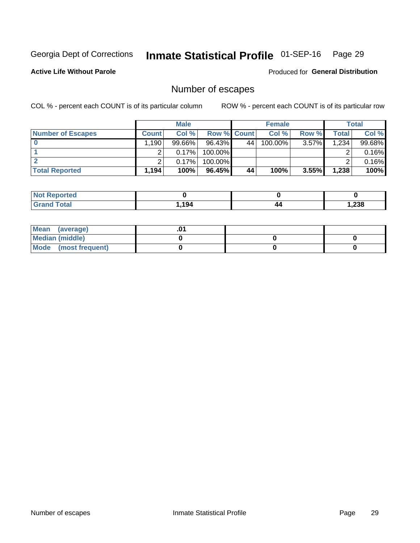## Inmate Statistical Profile 01-SEP-16 Page 29

**Active Life Without Parole** 

Produced for General Distribution

## Number of escapes

COL % - percent each COUNT is of its particular column

|                          |                   | <b>Male</b> |                    |    | <b>Female</b> |          |       | <b>Total</b> |
|--------------------------|-------------------|-------------|--------------------|----|---------------|----------|-------|--------------|
| <b>Number of Escapes</b> | <b>Count</b>      | Col%        | <b>Row % Count</b> |    | Col %         | Row %    | Total | Col %        |
|                          | ,190 <sup>1</sup> | $99.66\%$   | $96.43\%$          | 44 | 100.00%       | $3.57\%$ | 1,234 | 99.68%       |
|                          |                   | 0.17%       | 100.00%            |    |               |          |       | 0.16%        |
|                          |                   | 0.17%       | 100.00%            |    |               |          |       | 0.16%        |
| <b>Total Reported</b>    | $.194+$           | 100%        | 96.45%             | 44 | 100%          | 3.55%    | 1,238 | 100%         |

| <b>Not Reported</b> |      |    |        |
|---------------------|------|----|--------|
| <b>Grand Total</b>  | ,194 | 44 | 238, ا |

| Mean (average)       |  |  |
|----------------------|--|--|
| Median (middle)      |  |  |
| Mode (most frequent) |  |  |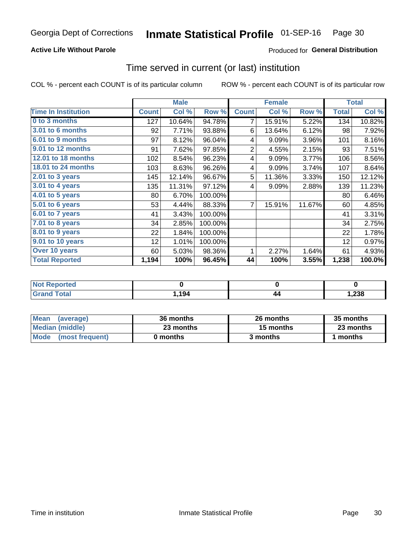#### **Active Life Without Parole**

### Produced for General Distribution

### Time served in current (or last) institution

COL % - percent each COUNT is of its particular column

|                            |              | <b>Male</b> |         |                | <b>Female</b> | <b>Total</b> |              |           |
|----------------------------|--------------|-------------|---------|----------------|---------------|--------------|--------------|-----------|
| <b>Time In Institution</b> | <b>Count</b> | Col %       | Row %   | <b>Count</b>   | Col %         | Row %        | <b>Total</b> | Col %     |
| 0 to 3 months              | 127          | 10.64%      | 94.78%  | 7              | 15.91%        | 5.22%        | 134          | 10.82%    |
| <b>3.01 to 6 months</b>    | 92           | 7.71%       | 93.88%  | 6              | 13.64%        | 6.12%        | 98           | 7.92%     |
| 6.01 to 9 months           | 97           | 8.12%       | 96.04%  | 4              | 9.09%         | 3.96%        | 101          | 8.16%     |
| 9.01 to 12 months          | 91           | 7.62%       | 97.85%  | $\overline{2}$ | 4.55%         | 2.15%        | 93           | 7.51%     |
| 12.01 to 18 months         | 102          | 8.54%       | 96.23%  | 4              | 9.09%         | 3.77%        | 106          | 8.56%     |
| <b>18.01 to 24 months</b>  | 103          | 8.63%       | 96.26%  | 4              | 9.09%         | 3.74%        | 107          | 8.64%     |
| $2.01$ to 3 years          | 145          | 12.14%      | 96.67%  | 5              | 11.36%        | 3.33%        | 150          | 12.12%    |
| $3.01$ to 4 years          | 135          | 11.31%      | 97.12%  | 4              | 9.09%         | 2.88%        | 139          | 11.23%    |
| 4.01 to 5 years            | 80           | 6.70%       | 100.00% |                |               |              | 80           | 6.46%     |
| 5.01 to 6 years            | 53           | 4.44%       | 88.33%  | 7              | 15.91%        | 11.67%       | 60           | 4.85%     |
| 6.01 to 7 years            | 41           | 3.43%       | 100.00% |                |               |              | 41           | 3.31%     |
| 7.01 to 8 years            | 34           | 2.85%       | 100.00% |                |               |              | 34           | 2.75%     |
| 8.01 to 9 years            | 22           | 1.84%       | 100.00% |                |               |              | 22           | 1.78%     |
| 9.01 to 10 years           | 12           | 1.01%       | 100.00% |                |               |              | 12           | 0.97%     |
| Over 10 years              | 60           | 5.03%       | 98.36%  | 1              | 2.27%         | 1.64%        | 61           | 4.93%     |
| <b>Total Reported</b>      | 1,194        | 100%        | 96.45%  | 44             | 100%          | 3.55%        | 1,238        | $100.0\%$ |

| <b>Not Reported</b>   |       |                     |        |
|-----------------------|-------|---------------------|--------|
| <b>Total</b><br>Grand | 1,194 | 44<br>$\sim$ $\sim$ | 238, ا |

| <b>Mean</b><br>(average) | 36 months | 26 months | 35 months |
|--------------------------|-----------|-----------|-----------|
| Median (middle)          | 23 months | 15 months | 23 months |
| Mode (most frequent)     | 0 months  | 3 months  | 1 months  |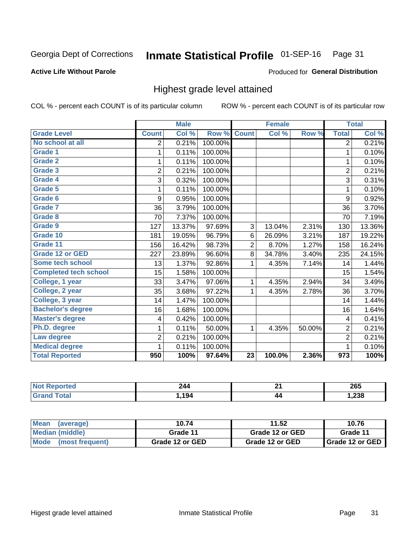#### Inmate Statistical Profile 01-SEP-16 Page 31

#### **Active Life Without Parole**

#### Produced for General Distribution

## Highest grade level attained

COL % - percent each COUNT is of its particular column

|                              |                          | <b>Male</b> |         |                 | <b>Female</b> |        |                  | <b>Total</b> |
|------------------------------|--------------------------|-------------|---------|-----------------|---------------|--------|------------------|--------------|
| <b>Grade Level</b>           | <b>Count</b>             | Col %       | Row %   | <b>Count</b>    | Col %         | Row %  | <b>Total</b>     | Col %        |
| No school at all             | $\overline{2}$           | 0.21%       | 100.00% |                 |               |        | $\overline{2}$   | 0.21%        |
| Grade 1                      | 1                        | 0.11%       | 100.00% |                 |               |        | 1                | 0.10%        |
| <b>Grade 2</b>               | 1                        | 0.11%       | 100.00% |                 |               |        | 1                | 0.10%        |
| Grade 3                      | $\overline{2}$           | 0.21%       | 100.00% |                 |               |        | $\overline{2}$   | 0.21%        |
| Grade 4                      | 3                        | 0.32%       | 100.00% |                 |               |        | 3                | 0.31%        |
| <b>Grade 5</b>               | 1                        | 0.11%       | 100.00% |                 |               |        | 1                | 0.10%        |
| <b>Grade 6</b>               | 9                        | 0.95%       | 100.00% |                 |               |        | 9                | 0.92%        |
| Grade 7                      | 36                       | 3.79%       | 100.00% |                 |               |        | 36               | 3.70%        |
| Grade 8                      | 70                       | 7.37%       | 100.00% |                 |               |        | 70               | 7.19%        |
| Grade 9                      | 127                      | 13.37%      | 97.69%  | 3               | 13.04%        | 2.31%  | 130              | 13.36%       |
| Grade 10                     | 181                      | 19.05%      | 96.79%  | 6               | 26.09%        | 3.21%  | 187              | 19.22%       |
| Grade 11                     | 156                      | 16.42%      | 98.73%  | $\overline{2}$  | 8.70%         | 1.27%  | 158              | 16.24%       |
| <b>Grade 12 or GED</b>       | 227                      | 23.89%      | 96.60%  | 8               | 34.78%        | 3.40%  | 235              | 24.15%       |
| Some tech school             | 13                       | 1.37%       | 92.86%  | 1               | 4.35%         | 7.14%  | 14               | 1.44%        |
| <b>Completed tech school</b> | 15                       | 1.58%       | 100.00% |                 |               |        | 15               | 1.54%        |
| College, 1 year              | 33                       | 3.47%       | 97.06%  | 1               | 4.35%         | 2.94%  | 34               | 3.49%        |
| College, 2 year              | 35                       | 3.68%       | 97.22%  | 1               | 4.35%         | 2.78%  | 36               | 3.70%        |
| College, 3 year              | 14                       | 1.47%       | 100.00% |                 |               |        | 14               | 1.44%        |
| <b>Bachelor's degree</b>     | 16                       | 1.68%       | 100.00% |                 |               |        | 16               | 1.64%        |
| <b>Master's degree</b>       | $\overline{\mathcal{A}}$ | 0.42%       | 100.00% |                 |               |        | 4                | 0.41%        |
| Ph.D. degree                 | 1                        | 0.11%       | 50.00%  | 1               | 4.35%         | 50.00% | $\overline{c}$   | 0.21%        |
| Law degree                   | 2                        | 0.21%       | 100.00% |                 |               |        | $\overline{2}$   | 0.21%        |
| <b>Medical degree</b>        | 1                        | 0.11%       | 100.00% |                 |               |        | 1                | 0.10%        |
| <b>Total Reported</b>        | 950                      | 100%        | 97.64%  | $\overline{23}$ | 100.0%        | 2.36%  | $\overline{973}$ | 100%         |

| teto. | 244 | ≛. | 265             |
|-------|-----|----|-----------------|
|       | 194 | 44 | ົດດດ<br>. . 23ō |

| <b>Mean</b><br>(average)       | 10.74           | 11.52           | 10.76             |
|--------------------------------|-----------------|-----------------|-------------------|
| Median (middle)                | Grade 11        | Grade 12 or GED | Grade 11          |
| <b>Mode</b><br>(most frequent) | Grade 12 or GED | Grade 12 or GED | I Grade 12 or GED |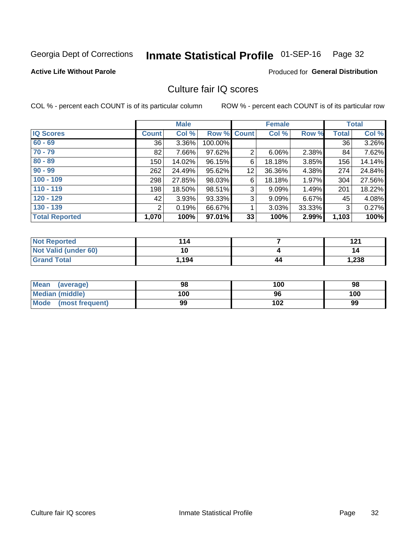#### Inmate Statistical Profile 01-SEP-16 Page 32

#### **Active Life Without Parole**

#### **Produced for General Distribution**

## Culture fair IQ scores

COL % - percent each COUNT is of its particular column

|                       |              | <b>Male</b> |                    |                | <b>Female</b> |          |              | <b>Total</b> |
|-----------------------|--------------|-------------|--------------------|----------------|---------------|----------|--------------|--------------|
| <b>IQ Scores</b>      | <b>Count</b> | Col %       | <b>Row % Count</b> |                | Col %         | Row %    | <b>Total</b> | Col %        |
| $60 - 69$             | 36           | 3.36%       | 100.00%            |                |               |          | 36           | 3.26%        |
| $70 - 79$             | 82           | 7.66%       | 97.62%             | $\overline{2}$ | 6.06%         | 2.38%    | 84           | 7.62%        |
| $80 - 89$             | 150          | 14.02%      | 96.15%             | 6              | 18.18%        | $3.85\%$ | 156          | 14.14%       |
| $90 - 99$             | 262          | 24.49%      | 95.62%             | 12             | 36.36%        | 4.38%    | 274          | 24.84%       |
| $100 - 109$           | 298          | 27.85%      | 98.03%             | 6              | 18.18%        | 1.97%    | 304          | 27.56%       |
| $110 - 119$           | 198          | 18.50%      | 98.51%             | 3              | 9.09%         | 1.49%    | 201          | 18.22%       |
| $120 - 129$           | 42           | 3.93%       | 93.33%             | 3              | 9.09%         | $6.67\%$ | 45           | 4.08%        |
| $130 - 139$           | 2            | 0.19%       | 66.67%             | 1              | 3.03%         | 33.33%   | 3            | 0.27%        |
| <b>Total Reported</b> | 1,070        | 100%        | 97.01%             | 33             | 100%          | 2.99%    | 1,103        | 100%         |

| <b>Not Reported</b>  | 114   |    | 121   |
|----------------------|-------|----|-------|
| Not Valid (under 60) | 10    |    | 14    |
| <b>Grand Total</b>   | 1,194 | 44 | 1,238 |

| Mean<br>(average)    | 98  | 100 | 98  |
|----------------------|-----|-----|-----|
| Median (middle)      | 100 | 96  | 100 |
| Mode (most frequent) | 99  | 102 | 99  |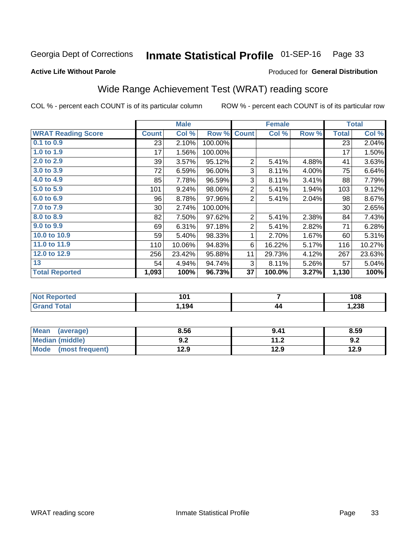## Inmate Statistical Profile 01-SEP-16 Page 33

#### **Active Life Without Parole**

### Produced for General Distribution

## Wide Range Achievement Test (WRAT) reading score

COL % - percent each COUNT is of its particular column

|                           |                 | <b>Male</b> |         |                | <b>Female</b>             |       |              | <b>Total</b> |
|---------------------------|-----------------|-------------|---------|----------------|---------------------------|-------|--------------|--------------|
| <b>WRAT Reading Score</b> | <b>Count</b>    | Col %       | Row %   | <b>Count</b>   | $\overline{\text{Col}}$ % | Row % | <b>Total</b> | Col %        |
| 0.1 to 0.9                | 23              | 2.10%       | 100.00% |                |                           |       | 23           | 2.04%        |
| 1.0 to 1.9                | 17              | 1.56%       | 100.00% |                |                           |       | 17           | 1.50%        |
| 2.0 to 2.9                | 39              | 3.57%       | 95.12%  | $\overline{2}$ | 5.41%                     | 4.88% | 41           | 3.63%        |
| 3.0 to 3.9                | 72              | 6.59%       | 96.00%  | 3              | 8.11%                     | 4.00% | 75           | 6.64%        |
| 4.0 to 4.9                | 85              | 7.78%       | 96.59%  | 3              | 8.11%                     | 3.41% | 88           | 7.79%        |
| 5.0 to 5.9                | 101             | 9.24%       | 98.06%  | $\overline{2}$ | 5.41%                     | 1.94% | 103          | 9.12%        |
| 6.0 to 6.9                | 96              | 8.78%       | 97.96%  | $\overline{2}$ | 5.41%                     | 2.04% | 98           | 8.67%        |
| 7.0 to 7.9                | 30 <sup>1</sup> | 2.74%       | 100.00% |                |                           |       | 30           | 2.65%        |
| 8.0 to 8.9                | 82              | 7.50%       | 97.62%  | $\overline{2}$ | 5.41%                     | 2.38% | 84           | 7.43%        |
| 9.0 to 9.9                | 69              | 6.31%       | 97.18%  | $\overline{2}$ | 5.41%                     | 2.82% | 71           | 6.28%        |
| 10.0 to 10.9              | 59              | 5.40%       | 98.33%  | 1              | 2.70%                     | 1.67% | 60           | 5.31%        |
| 11.0 to 11.9              | 110             | 10.06%      | 94.83%  | 6              | 16.22%                    | 5.17% | 116          | 10.27%       |
| 12.0 to 12.9              | 256             | 23.42%      | 95.88%  | 11             | 29.73%                    | 4.12% | 267          | 23.63%       |
| 13                        | 54              | 4.94%       | 94.74%  | 3              | 8.11%                     | 5.26% | 57           | 5.04%        |
| <b>Total Reported</b>     | 1,093           | 100%        | 96.73%  | 37             | 100.0%                    | 3.27% | 1,130        | 100%         |
|                           |                 |             |         |                |                           |       |              |              |

| <b>Not Reported</b>   | 101  |    | 108   |
|-----------------------|------|----|-------|
| <b>Total</b><br>Grand | .194 | 44 | 1,238 |

| <b>Mean</b><br>(average) | 8.56       | 9.41        | 8.59 |
|--------------------------|------------|-------------|------|
| Median (middle)          | י ה<br>J.Z | 11 J<br>1.Z | 9.2  |
| Mode<br>(most frequent)  | 12.9       | 12.9        | 12.9 |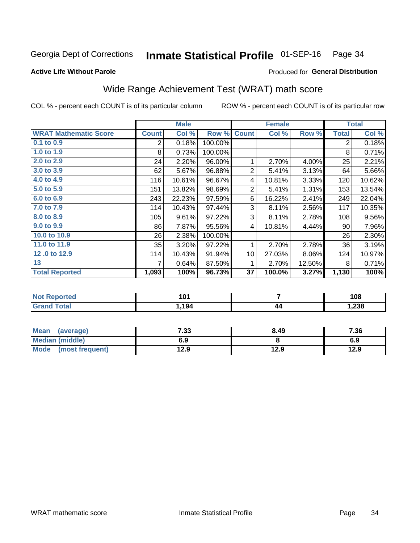#### Inmate Statistical Profile 01-SEP-16 Page 34

Produced for General Distribution

#### **Active Life Without Parole**

## Wide Range Achievement Test (WRAT) math score

COL % - percent each COUNT is of its particular column

|                              |              | <b>Male</b> |         |                 | <b>Female</b> |        |              | <b>Total</b> |
|------------------------------|--------------|-------------|---------|-----------------|---------------|--------|--------------|--------------|
| <b>WRAT Mathematic Score</b> | <b>Count</b> | Col %       | Row %   | <b>Count</b>    | Col %         | Row %  | <b>Total</b> | Col %        |
| 0.1 to 0.9                   | 2            | 0.18%       | 100.00% |                 |               |        | 2            | 0.18%        |
| 1.0 to 1.9                   | 8            | 0.73%       | 100.00% |                 |               |        | 8            | 0.71%        |
| 2.0 to 2.9                   | 24           | 2.20%       | 96.00%  | 1               | 2.70%         | 4.00%  | 25           | 2.21%        |
| 3.0 to 3.9                   | 62           | 5.67%       | 96.88%  | $\overline{2}$  | 5.41%         | 3.13%  | 64           | 5.66%        |
| 4.0 to 4.9                   | 116          | 10.61%      | 96.67%  | 4               | 10.81%        | 3.33%  | 120          | 10.62%       |
| 5.0 to 5.9                   | 151          | 13.82%      | 98.69%  | $\overline{2}$  | 5.41%         | 1.31%  | 153          | 13.54%       |
| 6.0 to 6.9                   | 243          | 22.23%      | 97.59%  | 6               | 16.22%        | 2.41%  | 249          | 22.04%       |
| 7.0 to 7.9                   | 114          | 10.43%      | 97.44%  | 3               | 8.11%         | 2.56%  | 117          | 10.35%       |
| 8.0 to 8.9                   | 105          | 9.61%       | 97.22%  | 3               | 8.11%         | 2.78%  | 108          | 9.56%        |
| 9.0 to 9.9                   | 86           | 7.87%       | 95.56%  | 4               | 10.81%        | 4.44%  | 90           | 7.96%        |
| 10.0 to 10.9                 | 26           | 2.38%       | 100.00% |                 |               |        | 26           | 2.30%        |
| 11.0 to 11.9                 | 35           | 3.20%       | 97.22%  | 1               | 2.70%         | 2.78%  | 36           | 3.19%        |
| 12.0 to 12.9                 | 114          | 10.43%      | 91.94%  | 10 <sup>1</sup> | 27.03%        | 8.06%  | 124          | 10.97%       |
| 13                           | 7            | 0.64%       | 87.50%  | 1               | 2.70%         | 12.50% | 8            | 0.71%        |
| <b>Total Reported</b>        | 1,093        | 100%        | 96.73%  | 37              | 100.0%        | 3.27%  | 1,130        | 100%         |

| <b>Not Reported</b>                           | 101  |    | 108    |
|-----------------------------------------------|------|----|--------|
| $T \cap f \cap T$<br>υιαι<br>$\mathsf{v}$ and | .194 | 44 | 238, ا |

| <b>Mean</b><br>(average) | 7.33 | 8.49 | 7.36 |
|--------------------------|------|------|------|
| Median (middle)          | 6.9  |      | 6.9  |
| Mode<br>(most frequent)  | l2.9 | 12.9 | 12.9 |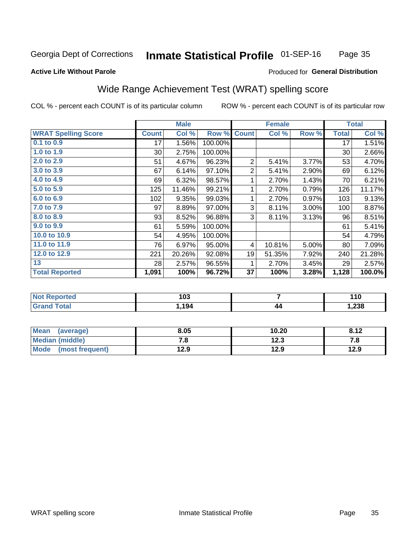#### **Inmate Statistical Profile 01-SEP-16** Page 35

#### **Active Life Without Parole**

#### Produced for General Distribution

## Wide Range Achievement Test (WRAT) spelling score

COL % - percent each COUNT is of its particular column

|                            |              | <b>Male</b> |         |                | <b>Female</b> |       |              | <b>Total</b> |
|----------------------------|--------------|-------------|---------|----------------|---------------|-------|--------------|--------------|
| <b>WRAT Spelling Score</b> | <b>Count</b> | Col %       | Row %   | <b>Count</b>   | Col %         | Row % | <b>Total</b> | Col %        |
| 0.1 to 0.9                 | 17           | 1.56%       | 100.00% |                |               |       | 17           | 1.51%        |
| 1.0 to 1.9                 | $30$         | 2.75%       | 100.00% |                |               |       | 30           | 2.66%        |
| 2.0 to 2.9                 | 51           | 4.67%       | 96.23%  | $\overline{2}$ | 5.41%         | 3.77% | 53           | 4.70%        |
| 3.0 to 3.9                 | 67           | 6.14%       | 97.10%  | $\overline{2}$ | 5.41%         | 2.90% | 69           | 6.12%        |
| 4.0 to 4.9                 | 69           | 6.32%       | 98.57%  | 1              | 2.70%         | 1.43% | 70           | 6.21%        |
| 5.0 to 5.9                 | 125          | 11.46%      | 99.21%  | 1              | 2.70%         | 0.79% | 126          | 11.17%       |
| 6.0 to 6.9                 | 102          | 9.35%       | 99.03%  | 1              | 2.70%         | 0.97% | 103          | 9.13%        |
| 7.0 to 7.9                 | 97           | 8.89%       | 97.00%  | 3              | 8.11%         | 3.00% | 100          | 8.87%        |
| 8.0 to 8.9                 | 93           | 8.52%       | 96.88%  | 3              | 8.11%         | 3.13% | 96           | 8.51%        |
| 9.0 to 9.9                 | 61           | 5.59%       | 100.00% |                |               |       | 61           | 5.41%        |
| 10.0 to 10.9               | 54           | 4.95%       | 100.00% |                |               |       | 54           | 4.79%        |
| 11.0 to 11.9               | 76           | 6.97%       | 95.00%  | 4              | 10.81%        | 5.00% | 80           | 7.09%        |
| 12.0 to 12.9               | 221          | 20.26%      | 92.08%  | 19             | 51.35%        | 7.92% | 240          | 21.28%       |
| 13                         | 28           | 2.57%       | 96.55%  | 1              | 2.70%         | 3.45% | 29           | 2.57%        |
| <b>Total Reported</b>      | 1,091        | 100%        | 96.72%  | 37             | 100%          | 3.28% | 1,128        | 100.0%       |
|                            |              |             |         |                |               |       |              |              |

| <b>Not Reported</b>          | 103  |    | 110   |
|------------------------------|------|----|-------|
| <b>Total</b><br><b>Grand</b> | .194 | 44 | 1,238 |

| Mean (average)         | 8.05      | 10.20 | 8.12 |
|------------------------|-----------|-------|------|
| <b>Median (middle)</b> | 70<br>. о | 12.3  | 7.a  |
| Mode (most frequent)   | 12.9      | 12.9  | 12.9 |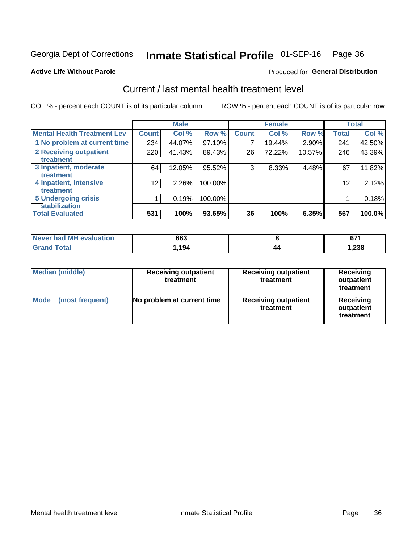## Inmate Statistical Profile 01-SEP-16 Page 36

#### **Active Life Without Parole**

#### Produced for General Distribution

## Current / last mental health treatment level

COL % - percent each COUNT is of its particular column

|                                    |              | <b>Male</b> |         |              | <b>Female</b> |        |              | <b>Total</b> |
|------------------------------------|--------------|-------------|---------|--------------|---------------|--------|--------------|--------------|
| <b>Mental Health Treatment Lev</b> | <b>Count</b> | Col %       | Row %   | <b>Count</b> | Col %         | Row %  | <b>Total</b> | Col %        |
| 1 No problem at current time       | 234          | 44.07%      | 97.10%  | 7            | 19.44%        | 2.90%  | 241          | 42.50%       |
| 2 Receiving outpatient             | 220          | 41.43%      | 89.43%  | 26           | 72.22%        | 10.57% | 246          | 43.39%       |
| <b>Treatment</b>                   |              |             |         |              |               |        |              |              |
| 3 Inpatient, moderate              | 64           | 12.05%      | 95.52%  | 3            | 8.33%         | 4.48%  | 67           | 11.82%       |
| <b>Treatment</b>                   |              |             |         |              |               |        |              |              |
| 4 Inpatient, intensive             | 12           | 2.26%       | 100.00% |              |               |        | 12           | 2.12%        |
| Treatment                          |              |             |         |              |               |        |              |              |
| <b>5 Undergoing crisis</b>         |              | 0.19%       | 100.00% |              |               |        |              | 0.18%        |
| <b>stabilization</b>               |              |             |         |              |               |        |              |              |
| <b>Total Evaluated</b>             | 531          | 100%        | 93.65%  | 36           | 100%          | 6.35%  | 567          | 100.0%       |

| Never had MH<br>evaluation | 663        | ~-<br>v, . |
|----------------------------|------------|------------|
| <b>otal</b>                | 10/<br>רשו | ,238       |

| <b>Median (middle)</b>  | <b>Receiving outpatient</b><br>treatment | <b>Receiving outpatient</b><br>treatment | <b>Receiving</b><br>outpatient<br>treatment |  |
|-------------------------|------------------------------------------|------------------------------------------|---------------------------------------------|--|
| Mode<br>(most frequent) | No problem at current time               | <b>Receiving outpatient</b><br>treatment | <b>Receiving</b><br>outpatient<br>treatment |  |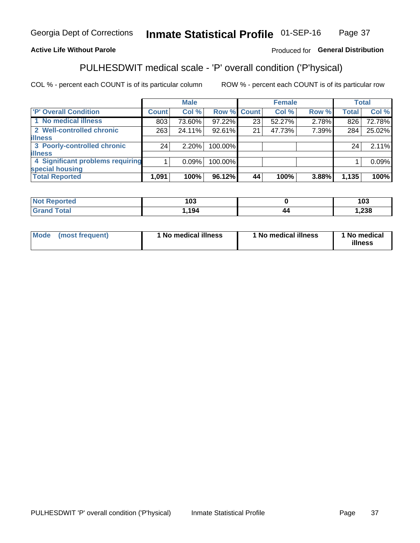#### **Inmate Statistical Profile 01-SEP-16** Page 37

#### **Active Life Without Parole**

#### Produced for General Distribution

## PULHESDWIT medical scale - 'P' overall condition ('P'hysical)

COL % - percent each COUNT is of its particular column

|                                  | <b>Male</b> |    |                                                                 |               | <b>Total</b>                     |
|----------------------------------|-------------|----|-----------------------------------------------------------------|---------------|----------------------------------|
| <b>Count</b>                     | Col %       |    | Col %                                                           | <b>Total</b>  | Col %                            |
| 803                              | 73.60%      | 23 | 52.27%                                                          | 826           | 72.78%                           |
| 263                              | 24.11%      | 21 | 47.73%                                                          | 284           | 25.02%                           |
|                                  |             |    |                                                                 |               |                                  |
| 24                               | 2.20%       |    |                                                                 | 24            | 2.11%                            |
|                                  |             |    |                                                                 |               |                                  |
| 4 Significant problems requiring | 0.09%       |    |                                                                 |               | 0.09%                            |
|                                  |             |    |                                                                 |               |                                  |
| 1,091                            | 100%        | 44 | 100%                                                            | 1,135         | 100%                             |
|                                  |             |    | Row % Count<br>97.22%<br>92.61%<br>100.00%<br>100.00%<br>96.12% | <b>Female</b> | Row %<br>2.78%<br>7.39%<br>3.88% |

| τeα   | 40C<br>ט ש |    | ,<br>103 |
|-------|------------|----|----------|
| _____ | 194        | 44 | ,238     |

| <b>Mode</b> | (most frequent) | 1 No medical illness | 1 No medical illness | 1 No medical<br>illness |
|-------------|-----------------|----------------------|----------------------|-------------------------|
|-------------|-----------------|----------------------|----------------------|-------------------------|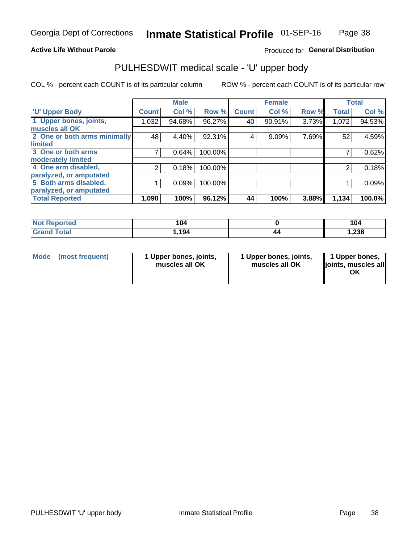#### **Active Life Without Parole**

#### Produced for General Distribution

## PULHESDWIT medical scale - 'U' upper body

COL % - percent each COUNT is of its particular column

|                              |              | <b>Male</b> |         |              | <b>Female</b> |       |              | <b>Total</b> |
|------------------------------|--------------|-------------|---------|--------------|---------------|-------|--------------|--------------|
| <b>U' Upper Body</b>         | <b>Count</b> | Col %       | Row %   | <b>Count</b> | Col %         | Row % | <b>Total</b> | Col %        |
| 1 Upper bones, joints,       | 1,032        | 94.68%      | 96.27%  | 40           | 90.91%        | 3.73% | 1,072        | 94.53%       |
| muscles all OK               |              |             |         |              |               |       |              |              |
| 2 One or both arms minimally | 48           | 4.40%       | 92.31%  | 4            | 9.09%         | 7.69% | 52           | 4.59%        |
| limited                      |              |             |         |              |               |       |              |              |
| 3 One or both arms           | 7            | 0.64%       | 100.00% |              |               |       |              | 0.62%        |
| <b>moderately limited</b>    |              |             |         |              |               |       |              |              |
| 4 One arm disabled,          | 2            | 0.18%       | 100.00% |              |               |       | 2            | 0.18%        |
| paralyzed, or amputated      |              |             |         |              |               |       |              |              |
| 5 Both arms disabled,        |              | 0.09%       | 100.00% |              |               |       |              | 0.09%        |
| paralyzed, or amputated      |              |             |         |              |               |       |              |              |
| <b>Total Reported</b>        | 1,090        | 100%        | 96.12%  | 44           | 100%          | 3.88% | 1,134        | 100.0%       |

| <b>Not Reported</b> | 104   |    | 104   |
|---------------------|-------|----|-------|
| <b>Grand Total</b>  | 1,194 | 40 | 238،، |

| Mode (most frequent) | 1 Upper bones, joints,<br>muscles all OK | 1 Upper bones, joints,<br>muscles all OK | 1 Upper bones,<br>joints, muscles all<br>ΟK |
|----------------------|------------------------------------------|------------------------------------------|---------------------------------------------|
|----------------------|------------------------------------------|------------------------------------------|---------------------------------------------|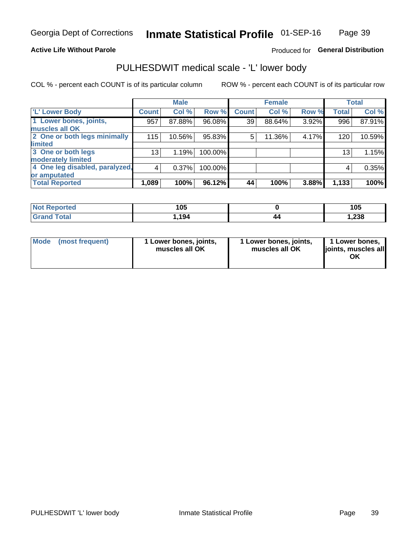#### **Active Life Without Parole**

### Produced for General Distribution

## PULHESDWIT medical scale - 'L' lower body

COL % - percent each COUNT is of its particular column

|                                | <b>Male</b>  |        | <b>Female</b> |              |        | <b>Total</b> |                 |        |
|--------------------------------|--------------|--------|---------------|--------------|--------|--------------|-----------------|--------|
| 'L' Lower Body                 | <b>Count</b> | Col %  | Row %         | <b>Count</b> | Col %  | Row %        | <b>Total</b>    | Col %  |
| 1 Lower bones, joints,         | 957          | 87.88% | 96.08%        | 39           | 88.64% | 3.92%        | 996             | 87.91% |
| muscles all OK                 |              |        |               |              |        |              |                 |        |
| 2 One or both legs minimally   | 115          | 10.56% | 95.83%        | 5            | 11.36% | 4.17%        | 120             | 10.59% |
| limited                        |              |        |               |              |        |              |                 |        |
| 3 One or both legs             | 13           | 1.19%  | 100.00%       |              |        |              | 13 <sub>1</sub> | 1.15%  |
| moderately limited             |              |        |               |              |        |              |                 |        |
| 4 One leg disabled, paralyzed, | 4            | 0.37%  | 100.00%       |              |        |              | 4               | 0.35%  |
| or amputated                   |              |        |               |              |        |              |                 |        |
| <b>Total Reported</b>          | 1,089        | 100%   | 96.12%        | 44           | 100%   | 3.88%        | 1,133           | 100%   |

| <b>Not Reported</b> | 1 N F<br>ט ו |    | 105    |
|---------------------|--------------|----|--------|
| <b>Grand Total</b>  | 1,194        | 44 | 238. ا |

| Mode | (most frequent) | 1 Lower bones, joints,<br>muscles all OK | 1 Lower bones, joints,<br>muscles all OK | 1 Lower bones,<br>ljoints, muscles all<br>ΟK |
|------|-----------------|------------------------------------------|------------------------------------------|----------------------------------------------|
|------|-----------------|------------------------------------------|------------------------------------------|----------------------------------------------|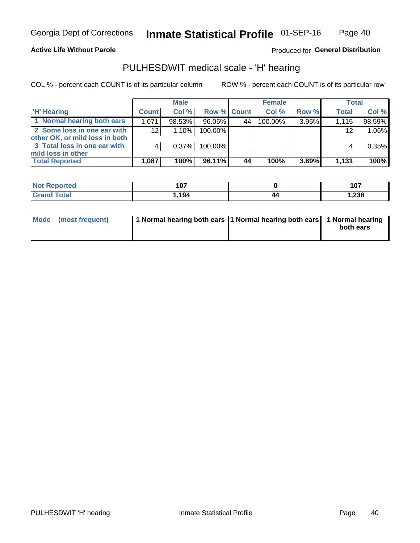#### **Active Life Without Parole**

#### Produced for General Distribution

## PULHESDWIT medical scale - 'H' hearing

COL % - percent each COUNT is of its particular column

|                                                               |                 | <b>Male</b> |             |    | <b>Female</b> |       | <b>Total</b> |          |
|---------------------------------------------------------------|-----------------|-------------|-------------|----|---------------|-------|--------------|----------|
| <b>H'</b> Hearing                                             | <b>Count</b>    | Col %       | Row % Count |    | Col%          | Row % | <b>Total</b> | Col %    |
| 1 Normal hearing both ears                                    | 1.071           | 98.53%      | 96.05%      | 44 | 100.00%       | 3.95% | 1.115        | 98.59%   |
| 2 Some loss in one ear with<br>other OK, or mild loss in both | 12 <sub>1</sub> | 1.10%       | 100.00%     |    |               |       | 12           | 1.06%    |
| 3 Total loss in one ear with<br>mild loss in other            |                 | 0.37%       | 100.00%     |    |               |       |              | $0.35\%$ |
| <b>Total Reported</b>                                         | 1,087           | 100%        | 96.11%      | 44 | 100%          | 3.89% | 1,131        | 100%     |

| Reported<br><b>NOT</b> | 107 |    | 1 N 7<br>. v.<br>$ -$ |
|------------------------|-----|----|-----------------------|
| <b>Total</b>           | 194 | 44 | .,238                 |

| Mode (most frequent) | 1 Normal hearing both ears 1 Normal hearing both ears 1 Normal hearing | both ears |
|----------------------|------------------------------------------------------------------------|-----------|
|----------------------|------------------------------------------------------------------------|-----------|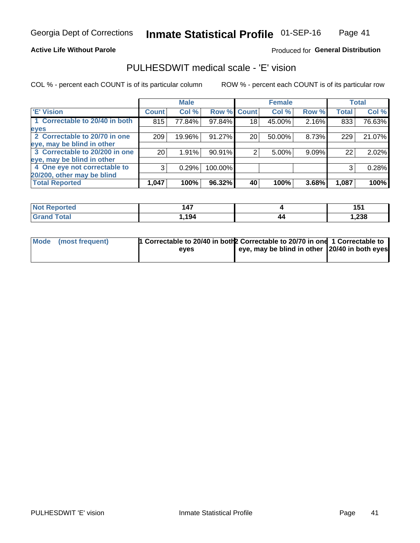#### **Active Life Without Parole**

#### Produced for General Distribution

## PULHESDWIT medical scale - 'E' vision

COL % - percent each COUNT is of its particular column

|                                |                 | <b>Male</b> |             |                 | <b>Female</b> |       |              | <b>Total</b> |
|--------------------------------|-----------------|-------------|-------------|-----------------|---------------|-------|--------------|--------------|
| <b>E' Vision</b>               | <b>Count</b>    | Col %       | Row % Count |                 | Col %         | Row % | <b>Total</b> | Col %        |
| 1 Correctable to 20/40 in both | 815             | 77.84%      | 97.84%      | 18 <sub>1</sub> | 45.00%        | 2.16% | 833          | 76.63%       |
| eyes                           |                 |             |             |                 |               |       |              |              |
| 2 Correctable to 20/70 in one  | 209             | 19.96%      | 91.27%      | 20              | 50.00%        | 8.73% | 229          | 21.07%       |
| eye, may be blind in other     |                 |             |             |                 |               |       |              |              |
| 3 Correctable to 20/200 in one | 20 <sub>1</sub> | 1.91%       | 90.91%      |                 | 5.00%         | 9.09% | 22           | 2.02%        |
| eye, may be blind in other     |                 |             |             |                 |               |       |              |              |
| 4 One eye not correctable to   | 3               | 0.29%       | 100.00%     |                 |               |       | 3            | 0.28%        |
| 20/200, other may be blind     |                 |             |             |                 |               |       |              |              |
| <b>Total Reported</b>          | 1,047           | 100%        | 96.32%      | 40              | 100%          | 3.68% | 1,087        | 100%         |

| <b>Not Reported</b> | 47    |    | 4 E -<br>ושו |
|---------------------|-------|----|--------------|
| Total               | 1,194 | 44 | .238         |

| Mode (most frequent) | 1 Correctable to 20/40 in both 2 Correctable to 20/70 in one 1 Correctable to<br>eves | eye, may be blind in other 20/40 in both eyes |  |
|----------------------|---------------------------------------------------------------------------------------|-----------------------------------------------|--|
|                      |                                                                                       |                                               |  |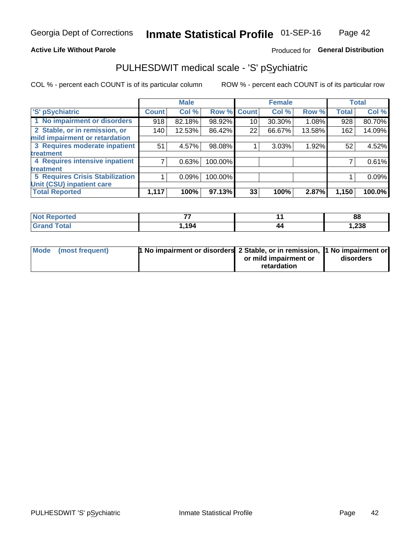#### **Active Life Without Parole**

### Produced for General Distribution

## PULHESDWIT medical scale - 'S' pSychiatric

COL % - percent each COUNT is of its particular column

|                                        |              | <b>Male</b> |         |             | <b>Female</b> |        |              | <b>Total</b> |
|----------------------------------------|--------------|-------------|---------|-------------|---------------|--------|--------------|--------------|
| 'S' pSychiatric                        | <b>Count</b> | Col %       |         | Row % Count | Col %         | Row %  | <b>Total</b> | Col %        |
| 1 No impairment or disorders           | 918          | 82.18%      | 98.92%  | 10          | 30.30%        | 1.08%  | 928          | 80.70%       |
| 2 Stable, or in remission, or          | 140          | 12.53%      | 86.42%  | 22          | 66.67%        | 13.58% | 162          | 14.09%       |
| mild impairment or retardation         |              |             |         |             |               |        |              |              |
| 3 Requires moderate inpatient          | 51           | 4.57%       | 98.08%  |             | 3.03%         | 1.92%  | 52           | 4.52%        |
| <b>treatment</b>                       |              |             |         |             |               |        |              |              |
| 4 Requires intensive inpatient         |              | 0.63%       | 100.00% |             |               |        |              | 0.61%        |
| treatment                              |              |             |         |             |               |        |              |              |
| <b>5 Requires Crisis Stabilization</b> |              | 0.09%       | 100.00% |             |               |        |              | 0.09%        |
| Unit (CSU) inpatient care              |              |             |         |             |               |        |              |              |
| <b>Total Reported</b>                  | 1,117        | 100%        | 97.13%  | 33          | 100%          | 2.87%  | 1,150        | 100.0%       |

| <b>Not Reported</b>          | --     |    | 88     |
|------------------------------|--------|----|--------|
| <b>Total</b><br><b>Grand</b> | 194. ا | 44 | 238. ا |

| Mode | (most frequent) | <b>1 No impairment or disorders</b> 2 Stable, or in remission, 1 No impairment or |                       |           |
|------|-----------------|-----------------------------------------------------------------------------------|-----------------------|-----------|
|      |                 |                                                                                   | or mild impairment or | disorders |
|      |                 |                                                                                   | retardation           |           |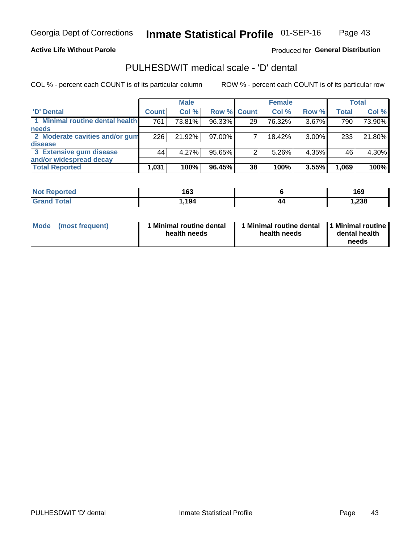**Active Life Without Parole** 

Produced for General Distribution

## PULHESDWIT medical scale - 'D' dental

COL % - percent each COUNT is of its particular column

|                                 |              | <b>Male</b> |        |             | <b>Female</b> |          |              | Total  |
|---------------------------------|--------------|-------------|--------|-------------|---------------|----------|--------------|--------|
| D' Dental                       | <b>Count</b> | Col %       |        | Row % Count | Col %         | Row %    | <b>Total</b> | Col %  |
| 1 Minimal routine dental health | 761          | 73.81%      | 96.33% | 29          | 76.32%        | 3.67%    | 790          | 73.90% |
| <b>needs</b>                    |              |             |        |             |               |          |              |        |
| 2 Moderate cavities and/or gum  | 226          | 21.92%      | 97.00% |             | 18.42%        | $3.00\%$ | 233          | 21.80% |
| disease                         |              |             |        |             |               |          |              |        |
| 3 Extensive gum disease         | 44           | $4.27\%$    | 95.65% | 2           | 5.26%         | 4.35%    | 46           | 4.30%  |
| and/or widespread decay         |              |             |        |             |               |          |              |        |
| <b>Total Reported</b>           | 1,031        | 100%        | 96.45% | 38          | 100%          | 3.55%    | 1,069        | 100%   |

| <b>NOT REDORTED</b><br> | 163                        |    | 169    |
|-------------------------|----------------------------|----|--------|
| Tota                    | 10 <sub>A</sub><br>I. I J4 | 44 | 238، ، |

| <b>Mode</b><br>(most frequent) | <b>Minimal routine dental</b><br>health needs | 1 Minimal routine dental<br>health needs | 1 Minimal routine<br>dental health<br>needs |
|--------------------------------|-----------------------------------------------|------------------------------------------|---------------------------------------------|
|--------------------------------|-----------------------------------------------|------------------------------------------|---------------------------------------------|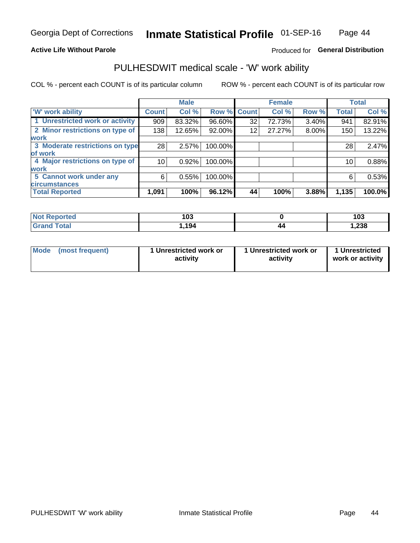#### **Active Life Without Parole**

### Produced for General Distribution

### PULHESDWIT medical scale - 'W' work ability

COL % - percent each COUNT is of its particular column

|                                 |              | <b>Male</b> |         |             | <b>Female</b> |       |              | <b>Total</b> |
|---------------------------------|--------------|-------------|---------|-------------|---------------|-------|--------------|--------------|
| <b>W' work ability</b>          | <b>Count</b> | Col %       |         | Row % Count | Col %         | Row % | <b>Total</b> | Col %        |
| 1 Unrestricted work or activity | 909          | 83.32%      | 96.60%  | 32          | 72.73%        | 3.40% | 941          | 82.91%       |
| 2 Minor restrictions on type of | 138          | 12.65%      | 92.00%  | 12          | 27.27%        | 8.00% | 150          | 13.22%       |
| <b>work</b>                     |              |             |         |             |               |       |              |              |
| 3 Moderate restrictions on type | 28           | 2.57%       | 100.00% |             |               |       | 28           | 2.47%        |
| lof work                        |              |             |         |             |               |       |              |              |
| 4 Major restrictions on type of | 10           | 0.92%       | 100.00% |             |               |       | 10           | 0.88%        |
| <b>work</b>                     |              |             |         |             |               |       |              |              |
| 5 Cannot work under any         | 6            | 0.55%       | 100.00% |             |               |       | 6            | 0.53%        |
| <b>circumstances</b>            |              |             |         |             |               |       |              |              |
| <b>Total Reported</b>           | 1,091        | 100%        | 96.12%  | 44          | 100%          | 3.88% | 1,135        | 100.0%       |

| <b>Not Reported</b>         | 103   |    | 103    |
|-----------------------------|-------|----|--------|
| <b>Total</b><br><b>Gran</b> | 194.ا | 44 | 238, ا |

| Mode (most frequent) | 1 Unrestricted work or | 1 Unrestricted work or | 1 Unrestricted   |
|----------------------|------------------------|------------------------|------------------|
|                      | activity               | activity               | work or activity |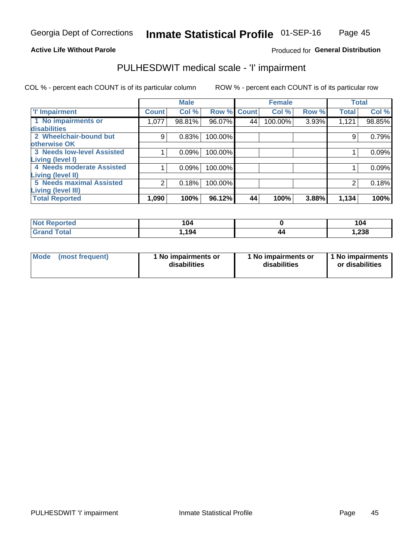#### **Active Life Without Parole**

#### Produced for General Distribution

### PULHESDWIT medical scale - 'I' impairment

|                                                       |              | <b>Male</b> |             |    | <b>Female</b> |       |              | <b>Total</b> |
|-------------------------------------------------------|--------------|-------------|-------------|----|---------------|-------|--------------|--------------|
| <b>T' Impairment</b>                                  | <b>Count</b> | Col %       | Row % Count |    | Col %         | Row % | <b>Total</b> | Col %        |
| 1 No impairments or<br>disabilities                   | 1,077        | 98.81%      | 96.07%      | 44 | 100.00%       | 3.93% | 1,121        | 98.85%       |
| 2 Wheelchair-bound but<br>otherwise OK                | 9            | 0.83%       | 100.00%     |    |               |       |              | 0.79%        |
| <b>3 Needs low-level Assisted</b><br>Living (level I) |              | 0.09%       | 100.00%     |    |               |       |              | 0.09%        |
| 4 Needs moderate Assisted<br>Living (level II)        |              | 0.09%       | 100.00%     |    |               |       |              | 0.09%        |
| <b>5 Needs maximal Assisted</b><br>Living (level III) | 2            | 0.18%       | 100.00%     |    |               |       |              | 0.18%        |
| <b>Total Reported</b>                                 | 1,090        | 100%        | 96.12%      | 44 | 100%          | 3.88% | 1,134        | 100%         |

| eported      | 104  |    | 104   |
|--------------|------|----|-------|
| <b>cotal</b> | ,194 | 14 | 1,238 |

| Mode | (most frequent) | 1 No impairments or<br>disabilities | 1 No impairments or<br>disabilities | 1 No impairments<br>or disabilities |
|------|-----------------|-------------------------------------|-------------------------------------|-------------------------------------|
|------|-----------------|-------------------------------------|-------------------------------------|-------------------------------------|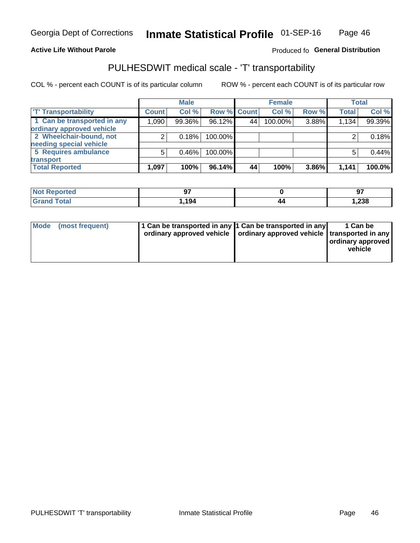#### **Active Life Without Parole**

#### Produced fo General Distribution

## PULHESDWIT medical scale - 'T' transportability

COL % - percent each COUNT is of its particular column

|                             |              | <b>Male</b> |             |     | <b>Female</b> |       |              | <b>Total</b> |
|-----------------------------|--------------|-------------|-------------|-----|---------------|-------|--------------|--------------|
| <b>TT Transportability</b>  | <b>Count</b> | Col %       | Row % Count |     | Col %         | Row % | <b>Total</b> | Col %        |
| 1 Can be transported in any | 1,090        | 99.36%      | 96.12%      | 44' | 100.00%       | 3.88% | 1,134        | 99.39%       |
| ordinary approved vehicle   |              |             |             |     |               |       |              |              |
| 2 Wheelchair-bound, not     |              | 0.18%       | 100.00%     |     |               |       |              | 0.18%        |
| needing special vehicle     |              |             |             |     |               |       |              |              |
| 5 Requires ambulance        | 5            | 0.46%       | 100.00%     |     |               |       |              | 0.44%        |
| transport                   |              |             |             |     |               |       |              |              |
| <b>Total Reported</b>       | 1,097        | 100%        | 96.14%      | 44  | 100%          | 3.86% | 1,141        | 100.0%       |

| - 131<br>тео | $\bullet$ |    | $\sim$<br>J. |
|--------------|-----------|----|--------------|
|              | 194. ا    | т. | 1,238        |

| <b>Mode</b> | (most frequent) | 1 Can be transported in any 1 Can be transported in any | ordinary approved vehicle   ordinary approved vehicle   transported in any | 1 Can be<br>  ordinary approved<br>vehicle |
|-------------|-----------------|---------------------------------------------------------|----------------------------------------------------------------------------|--------------------------------------------|
|             |                 |                                                         |                                                                            |                                            |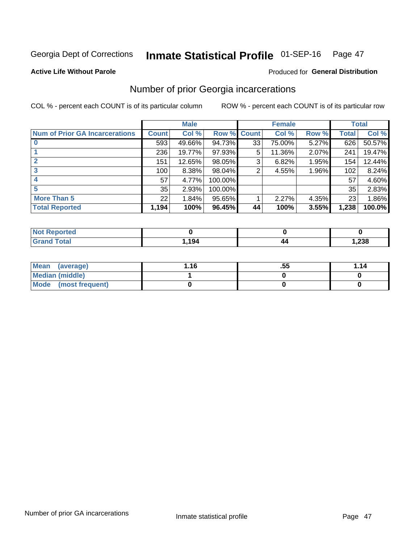#### Inmate Statistical Profile 01-SEP-16 Page 47

#### **Active Life Without Parole**

#### **Produced for General Distribution**

## Number of prior Georgia incarcerations

COL % - percent each COUNT is of its particular column

|                                       |              | <b>Male</b> |                    |    | <b>Female</b> |       |       | <b>Total</b> |
|---------------------------------------|--------------|-------------|--------------------|----|---------------|-------|-------|--------------|
| <b>Num of Prior GA Incarcerations</b> | <b>Count</b> | Col %       | <b>Row % Count</b> |    | Col %         | Row % | Total | Col %        |
|                                       | 593          | 49.66%      | 94.73%             | 33 | 75.00%        | 5.27% | 626   | 50.57%       |
|                                       | 236          | 19.77%      | 97.93%             | 5  | 11.36%        | 2.07% | 241   | 19.47%       |
|                                       | 151          | 12.65%      | 98.05%             | 3  | 6.82%         | 1.95% | 154   | 12.44%       |
| 3                                     | 100          | 8.38%       | 98.04%             | 2  | 4.55%         | 1.96% | 102   | 8.24%        |
| 4                                     | 57           | 4.77%       | 100.00%            |    |               |       | 57    | 4.60%        |
| 5                                     | 35           | 2.93%       | 100.00%            |    |               |       | 35    | 2.83%        |
| <b>More Than 5</b>                    | 22           | 1.84%       | 95.65%             |    | 2.27%         | 4.35% | 23    | 1.86%        |
| <b>Total Reported</b>                 | 1,194        | 100%        | 96.45%             | 44 | 100%          | 3.55% | 1,238 | 100.0%       |

| orted<br><b>NI</b>               |       |                    |       |
|----------------------------------|-------|--------------------|-------|
| <b>Total</b><br>$\mathbf{v}$ and | 1,194 | $\boldsymbol{\mu}$ | 1,238 |

| Mean (average)       | 1.16 | .55 | 1.14 |
|----------------------|------|-----|------|
| Median (middle)      |      |     |      |
| Mode (most frequent) |      |     |      |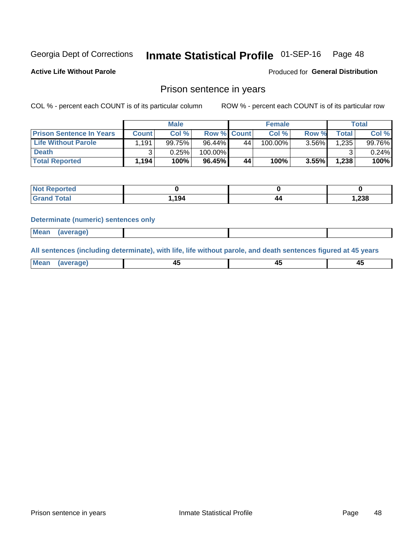#### Inmate Statistical Profile 01-SEP-16 Page 48

**Active Life Without Parole** 

Produced for General Distribution

### Prison sentence in years

COL % - percent each COUNT is of its particular column

ROW % - percent each COUNT is of its particular row

|                                 |       | <b>Male</b> |                    |    | <b>Female</b> |       |       | Total    |
|---------------------------------|-------|-------------|--------------------|----|---------------|-------|-------|----------|
| <b>Prison Sentence In Years</b> | Count | Col %       | <b>Row % Count</b> |    | Col %         | Row % | Total | Col %    |
| <b>Life Without Parole</b>      | 1.191 | 99.75%      | 96.44%             | 44 | $100.00\%$    | 3.56% | 1.235 | 99.76%   |
| <b>Death</b>                    |       | 0.25%       | 100.00%            |    |               |       |       | $0.24\%$ |
| <b>Total Reported</b>           | 1,194 | 100%        | 96.45%             | 44 | 100%          | 3.55% | 1,238 | 100%     |

| ported      |      |     |       |
|-------------|------|-----|-------|
| <b>otal</b> | .194 | ,,, | 1,238 |

#### **Determinate (numeric) sentences only**

| 1112211 | <b>Mean</b> | Ane <sup>*</sup> |  |  |
|---------|-------------|------------------|--|--|

All sentences (including determinate), with life, life without parole, and death sentences figured at 45 years

| l Mea<br>'апе<br>.<br> | ᠇<br>$\sim$ | $\sim$ |  |
|------------------------|-------------|--------|--|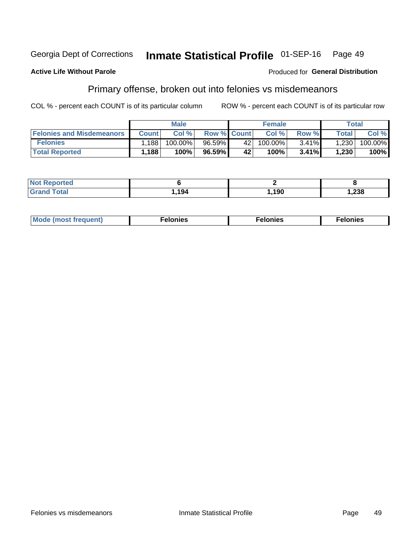#### Inmate Statistical Profile 01-SEP-16 Georgia Dept of Corrections Page 49

#### **Active Life Without Parole**

#### Produced for General Distribution

## Primary offense, broken out into felonies vs misdemeanors

COL % - percent each COUNT is of its particular column

|                                  |              | <b>Male</b> |                    |     | <b>Female</b> |          |              | Total   |
|----------------------------------|--------------|-------------|--------------------|-----|---------------|----------|--------------|---------|
| <b>Felonies and Misdemeanors</b> | <b>Count</b> | Col%        | <b>Row % Count</b> |     | Col%          | Row %    | <b>Total</b> | Col %   |
| <b>Felonies</b>                  | .188         | 100.00%     | 96.59%             | 42' | $100.00\%$    | $3.41\%$ | 1,230        | 100.00% |
| <b>Total Reported</b>            | .188         | $100\%$     | 96.59%             | 42  | $100\%$       | 3.41%    | 1,230        | 100%    |

| <b>Not Reported</b> |       |      |        |
|---------------------|-------|------|--------|
| <b>Grand Total</b>  | 1.194 | ,190 | 238. ا |

| <b>Mode</b><br>frequent)<br>nies<br>≧ (most tr.<br>. | onies<br>. | lonies<br>ею<br>____ |
|------------------------------------------------------|------------|----------------------|
|------------------------------------------------------|------------|----------------------|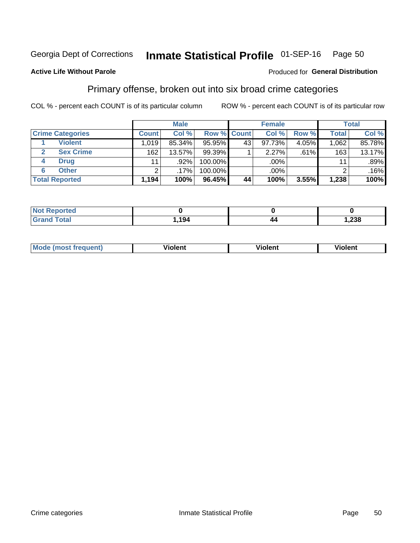#### Inmate Statistical Profile 01-SEP-16 Page 50

#### **Active Life Without Parole**

#### Produced for General Distribution

## Primary offense, broken out into six broad crime categories

COL % - percent each COUNT is of its particular column

|                         |              | <b>Male</b> |           |             | <b>Female</b> |       |              | <b>Total</b> |
|-------------------------|--------------|-------------|-----------|-------------|---------------|-------|--------------|--------------|
| <b>Crime Categories</b> | <b>Count</b> | Col %       |           | Row % Count | Col %         | Row % | <b>Total</b> | Col %        |
| <b>Violent</b>          | 1,019        | 85.34%      | 95.95%    | 43          | 97.73%        | 4.05% | 1,062        | 85.78%       |
| <b>Sex Crime</b>        | 162          | 13.57%      | $99.39\%$ |             | $2.27\%$      | .61%  | 163          | 13.17%       |
| <b>Drug</b><br>4        | 11           | $.92\%$     | 100.00%   |             | .00%          |       | 11           | .89%         |
| <b>Other</b><br>6       | 2            | .17%'       | 100.00%   |             | .00%          |       | ົ            | .16%         |
| <b>Total Reported</b>   | 1,194        | 100%        | 96.45%    | 44          | 100%          | 3.55% | 1,238        | 100%         |

| <b>Not Reported</b> |               |    |               |
|---------------------|---------------|----|---------------|
| $T0+0$              | 101<br>. . 94 | 44 | າາວ<br>סכ∡, ו |

| <b>Mode (most frequent)</b> | <br>'iolent | Violent | --<br><b>Violent</b> |
|-----------------------------|-------------|---------|----------------------|
|                             |             |         |                      |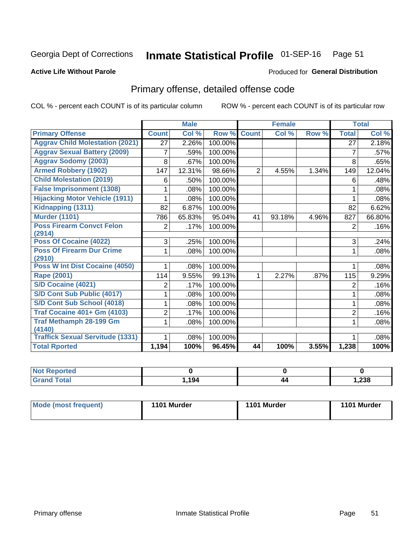#### Inmate Statistical Profile 01-SEP-16 Page 51

#### **Active Life Without Parole**

#### Produced for General Distribution

## Primary offense, detailed offense code

COL % - percent each COUNT is of its particular column

|                                            |                | <b>Male</b> |         |                | <b>Female</b> |       |                | <b>Total</b> |
|--------------------------------------------|----------------|-------------|---------|----------------|---------------|-------|----------------|--------------|
| <b>Primary Offense</b>                     | <b>Count</b>   | Col %       | Row %   | <b>Count</b>   | Col %         | Row % | <b>Total</b>   | Col %        |
| <b>Aggrav Child Molestation (2021)</b>     | 27             | 2.26%       | 100.00% |                |               |       | 27             | 2.18%        |
| <b>Aggrav Sexual Battery (2009)</b>        | 7              | .59%        | 100.00% |                |               |       | 7              | .57%         |
| <b>Aggrav Sodomy (2003)</b>                | 8              | .67%        | 100.00% |                |               |       | 8              | .65%         |
| <b>Armed Robbery (1902)</b>                | 147            | 12.31%      | 98.66%  | $\overline{2}$ | 4.55%         | 1.34% | 149            | 12.04%       |
| <b>Child Molestation (2019)</b>            | 6              | .50%        | 100.00% |                |               |       | 6              | .48%         |
| <b>False Imprisonment (1308)</b>           |                | .08%        | 100.00% |                |               |       | 1              | .08%         |
| <b>Hijacking Motor Vehicle (1911)</b>      |                | .08%        | 100.00% |                |               |       |                | .08%         |
| Kidnapping (1311)                          | 82             | 6.87%       | 100.00% |                |               |       | 82             | 6.62%        |
| <b>Murder (1101)</b>                       | 786            | 65.83%      | 95.04%  | 41             | 93.18%        | 4.96% | 827            | 66.80%       |
| <b>Poss Firearm Convct Felon</b>           | $\overline{2}$ | .17%        | 100.00% |                |               |       | 2              | .16%         |
| (2914)                                     |                |             |         |                |               |       |                |              |
| Poss Of Cocaine (4022)                     | 3              | .25%        | 100.00% |                |               |       | 3              | .24%         |
| <b>Poss Of Firearm Dur Crime</b><br>(2910) | 1              | .08%        | 100.00% |                |               |       | 1              | .08%         |
| Poss W Int Dist Cocaine (4050)             |                | .08%        | 100.00% |                |               |       |                | .08%         |
| <b>Rape (2001)</b>                         | 114            | 9.55%       | 99.13%  | 1              | 2.27%         | .87%  | 115            | 9.29%        |
| S/D Cocaine (4021)                         | 2              | .17%        | 100.00% |                |               |       | $\overline{2}$ | .16%         |
| S/D Cont Sub Public (4017)                 |                | .08%        | 100.00% |                |               |       | 1              | .08%         |
| S/D Cont Sub School (4018)                 |                | .08%        | 100.00% |                |               |       | 1              | .08%         |
| <b>Traf Cocaine 401+ Gm (4103)</b>         | $\overline{c}$ | .17%        | 100.00% |                |               |       | $\overline{2}$ | .16%         |
| <b>Traf Methamph 28-199 Gm</b>             | 1              | .08%        | 100.00% |                |               |       | 1              | .08%         |
| (4140)                                     |                |             |         |                |               |       |                |              |
| <b>Traffick Sexual Servitude (1331)</b>    |                | .08%        | 100.00% |                |               |       | 1              | .08%         |
| <b>Total Rported</b>                       | 1,194          | 100%        | 96.45%  | 44             | 100%          | 3.55% | 1,238          | 100%         |

| ∍nteu |          |    |       |
|-------|----------|----|-------|
|       | 10/<br>. | 44 | 1,238 |

| Mode (most frequent) | 1101 Murder | 1101 Murder | 1101 Murder |
|----------------------|-------------|-------------|-------------|
|                      |             |             |             |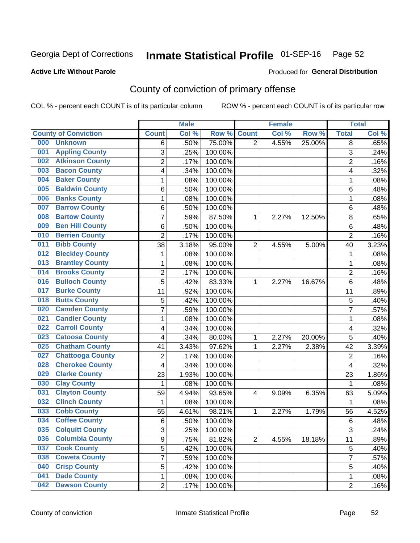## Inmate Statistical Profile 01-SEP-16 Page 52

#### **Active Life Without Parole**

#### Produced for General Distribution

## County of conviction of primary offense

COL % - percent each COUNT is of its particular column

|                                |                | <b>Male</b> |         |                | <b>Female</b> |        |                | <b>Total</b> |
|--------------------------------|----------------|-------------|---------|----------------|---------------|--------|----------------|--------------|
| <b>County of Conviction</b>    | <b>Count</b>   | Col %       | Row %   | <b>Count</b>   | Col %         | Row %  | <b>Total</b>   | Col %        |
| 000<br><b>Unknown</b>          | 6              | .50%        | 75.00%  | $\overline{2}$ | 4.55%         | 25.00% | 8              | .65%         |
| <b>Appling County</b><br>001   | 3              | .25%        | 100.00% |                |               |        | 3              | .24%         |
| <b>Atkinson County</b><br>002  | $\overline{c}$ | .17%        | 100.00% |                |               |        | $\overline{c}$ | .16%         |
| <b>Bacon County</b><br>003     | 4              | .34%        | 100.00% |                |               |        | 4              | .32%         |
| <b>Baker County</b><br>004     | 1              | .08%        | 100.00% |                |               |        | 1              | .08%         |
| <b>Baldwin County</b><br>005   | 6              | .50%        | 100.00% |                |               |        | 6              | .48%         |
| <b>Banks County</b><br>006     | 1              | .08%        | 100.00% |                |               |        | 1              | .08%         |
| <b>Barrow County</b><br>007    | 6              | .50%        | 100.00% |                |               |        | 6              | .48%         |
| <b>Bartow County</b><br>008    | $\overline{7}$ | .59%        | 87.50%  | 1              | 2.27%         | 12.50% | 8              | .65%         |
| <b>Ben Hill County</b><br>009  | 6              | .50%        | 100.00% |                |               |        | 6              | .48%         |
| <b>Berrien County</b><br>010   | $\overline{2}$ | .17%        | 100.00% |                |               |        | $\overline{2}$ | .16%         |
| <b>Bibb County</b><br>011      | 38             | 3.18%       | 95.00%  | $\overline{2}$ | 4.55%         | 5.00%  | 40             | 3.23%        |
| <b>Bleckley County</b><br>012  | 1              | .08%        | 100.00% |                |               |        | 1              | .08%         |
| <b>Brantley County</b><br>013  | 1              | .08%        | 100.00% |                |               |        | 1              | .08%         |
| <b>Brooks County</b><br>014    | $\overline{c}$ | .17%        | 100.00% |                |               |        | $\overline{2}$ | .16%         |
| <b>Bulloch County</b><br>016   | 5              | .42%        | 83.33%  | 1              | 2.27%         | 16.67% | 6              | .48%         |
| <b>Burke County</b><br>017     | 11             | .92%        | 100.00% |                |               |        | 11             | .89%         |
| <b>Butts County</b><br>018     | 5              | .42%        | 100.00% |                |               |        | 5              | .40%         |
| <b>Camden County</b><br>020    | $\overline{7}$ | .59%        | 100.00% |                |               |        | $\overline{7}$ | .57%         |
| <b>Candler County</b><br>021   | 1              | .08%        | 100.00% |                |               |        | 1              | .08%         |
| <b>Carroll County</b><br>022   | 4              | .34%        | 100.00% |                |               |        | 4              | .32%         |
| <b>Catoosa County</b><br>023   | 4              | .34%        | 80.00%  | 1              | 2.27%         | 20.00% | 5              | .40%         |
| <b>Chatham County</b><br>025   | 41             | 3.43%       | 97.62%  | 1              | 2.27%         | 2.38%  | 42             | 3.39%        |
| <b>Chattooga County</b><br>027 | $\overline{2}$ | .17%        | 100.00% |                |               |        | $\overline{2}$ | .16%         |
| <b>Cherokee County</b><br>028  | 4              | .34%        | 100.00% |                |               |        | 4              | .32%         |
| <b>Clarke County</b><br>029    | 23             | 1.93%       | 100.00% |                |               |        | 23             | 1.86%        |
| <b>Clay County</b><br>030      | 1              | .08%        | 100.00% |                |               |        | 1              | .08%         |
| <b>Clayton County</b><br>031   | 59             | 4.94%       | 93.65%  | $\overline{4}$ | 9.09%         | 6.35%  | 63             | 5.09%        |
| <b>Clinch County</b><br>032    | $\mathbf 1$    | .08%        | 100.00% |                |               |        | 1              | .08%         |
| <b>Cobb County</b><br>033      | 55             | 4.61%       | 98.21%  | 1              | 2.27%         | 1.79%  | 56             | 4.52%        |
| <b>Coffee County</b><br>034    | $6\phantom{1}$ | .50%        | 100.00% |                |               |        | 6              | .48%         |
| 035<br><b>Colquitt County</b>  | 3              | .25%        | 100.00% |                |               |        | 3              | .24%         |
| <b>Columbia County</b><br>036  | 9              | .75%        | 81.82%  | $\overline{2}$ | 4.55%         | 18.18% | 11             | .89%         |
| 037<br><b>Cook County</b>      | 5              | .42%        | 100.00% |                |               |        | 5              | .40%         |
| <b>Coweta County</b><br>038    | 7              | .59%        | 100.00% |                |               |        | $\overline{7}$ | .57%         |
| <b>Crisp County</b><br>040     | 5              | .42%        | 100.00% |                |               |        | 5              | .40%         |
| <b>Dade County</b><br>041      | 1              | .08%        | 100.00% |                |               |        | 1              | .08%         |
| <b>Dawson County</b><br>042    | $\overline{2}$ | .17%        | 100.00% |                |               |        | $\overline{2}$ | .16%         |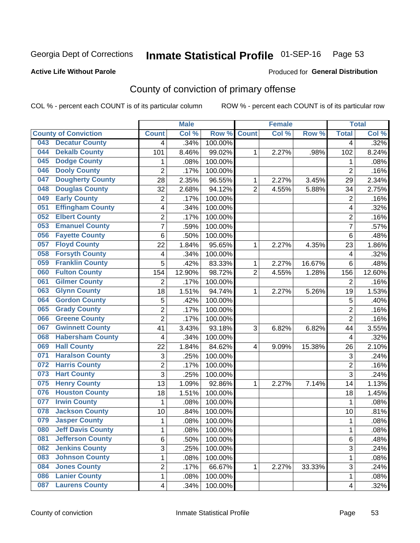## Inmate Statistical Profile 01-SEP-16 Page 53

#### **Active Life Without Parole**

#### Produced for General Distribution

## County of conviction of primary offense

COL % - percent each COUNT is of its particular column

|     |                             |                | <b>Male</b> |         |                | <b>Female</b> |        |                | <b>Total</b> |
|-----|-----------------------------|----------------|-------------|---------|----------------|---------------|--------|----------------|--------------|
|     | <b>County of Conviction</b> | <b>Count</b>   | Col %       | Row %   | <b>Count</b>   | Col %         | Row %  | <b>Total</b>   | Col %        |
| 043 | <b>Decatur County</b>       | 4              | .34%        | 100.00% |                |               |        | 4              | .32%         |
| 044 | <b>Dekalb County</b>        | 101            | 8.46%       | 99.02%  | 1              | 2.27%         | .98%   | 102            | 8.24%        |
| 045 | <b>Dodge County</b>         | 1              | .08%        | 100.00% |                |               |        | 1              | .08%         |
| 046 | <b>Dooly County</b>         | $\overline{2}$ | .17%        | 100.00% |                |               |        | $\overline{2}$ | .16%         |
| 047 | <b>Dougherty County</b>     | 28             | 2.35%       | 96.55%  | 1              | 2.27%         | 3.45%  | 29             | 2.34%        |
| 048 | <b>Douglas County</b>       | 32             | 2.68%       | 94.12%  | $\overline{2}$ | 4.55%         | 5.88%  | 34             | 2.75%        |
| 049 | <b>Early County</b>         | $\overline{c}$ | .17%        | 100.00% |                |               |        | $\overline{2}$ | .16%         |
| 051 | <b>Effingham County</b>     | 4              | .34%        | 100.00% |                |               |        | 4              | .32%         |
| 052 | <b>Elbert County</b>        | 2              | .17%        | 100.00% |                |               |        | $\overline{2}$ | .16%         |
| 053 | <b>Emanuel County</b>       | $\overline{7}$ | .59%        | 100.00% |                |               |        | 7              | .57%         |
| 056 | <b>Fayette County</b>       | 6              | .50%        | 100.00% |                |               |        | 6              | .48%         |
| 057 | <b>Floyd County</b>         | 22             | 1.84%       | 95.65%  | 1              | 2.27%         | 4.35%  | 23             | 1.86%        |
| 058 | <b>Forsyth County</b>       | 4              | .34%        | 100.00% |                |               |        | 4              | .32%         |
| 059 | <b>Franklin County</b>      | 5              | .42%        | 83.33%  | 1              | 2.27%         | 16.67% | 6              | .48%         |
| 060 | <b>Fulton County</b>        | 154            | 12.90%      | 98.72%  | $\overline{2}$ | 4.55%         | 1.28%  | 156            | 12.60%       |
| 061 | <b>Gilmer County</b>        | $\overline{2}$ | .17%        | 100.00% |                |               |        | 2              | .16%         |
| 063 | <b>Glynn County</b>         | 18             | 1.51%       | 94.74%  | 1              | 2.27%         | 5.26%  | 19             | 1.53%        |
| 064 | <b>Gordon County</b>        | 5              | .42%        | 100.00% |                |               |        | 5              | .40%         |
| 065 | <b>Grady County</b>         | $\overline{c}$ | .17%        | 100.00% |                |               |        | $\overline{2}$ | .16%         |
| 066 | <b>Greene County</b>        | $\overline{2}$ | .17%        | 100.00% |                |               |        | $\overline{2}$ | .16%         |
| 067 | <b>Gwinnett County</b>      | 41             | 3.43%       | 93.18%  | 3              | 6.82%         | 6.82%  | 44             | 3.55%        |
| 068 | <b>Habersham County</b>     | $\overline{4}$ | .34%        | 100.00% |                |               |        | 4              | .32%         |
| 069 | <b>Hall County</b>          | 22             | 1.84%       | 84.62%  | 4              | 9.09%         | 15.38% | 26             | 2.10%        |
| 071 | <b>Haralson County</b>      | 3              | .25%        | 100.00% |                |               |        | 3              | .24%         |
| 072 | <b>Harris County</b>        | 2              | .17%        | 100.00% |                |               |        | $\overline{2}$ | .16%         |
| 073 | <b>Hart County</b>          | 3              | .25%        | 100.00% |                |               |        | 3              | .24%         |
| 075 | <b>Henry County</b>         | 13             | 1.09%       | 92.86%  | 1              | 2.27%         | 7.14%  | 14             | 1.13%        |
| 076 | <b>Houston County</b>       | 18             | 1.51%       | 100.00% |                |               |        | 18             | 1.45%        |
| 077 | <b>Irwin County</b>         | $\mathbf{1}$   | .08%        | 100.00% |                |               |        | $\mathbf{1}$   | .08%         |
| 078 | <b>Jackson County</b>       | 10             | .84%        | 100.00% |                |               |        | 10             | .81%         |
| 079 | <b>Jasper County</b>        | $\mathbf{1}$   | .08%        | 100.00% |                |               |        | 1              | .08%         |
| 080 | <b>Jeff Davis County</b>    | 1              | .08%        | 100.00% |                |               |        | 1              | .08%         |
| 081 | <b>Jefferson County</b>     | 6              | .50%        | 100.00% |                |               |        | 6              | .48%         |
| 082 | <b>Jenkins County</b>       | 3              | .25%        | 100.00% |                |               |        | 3              | .24%         |
| 083 | <b>Johnson County</b>       | $\mathbf{1}$   | .08%        | 100.00% |                |               |        | $\mathbf{1}$   | .08%         |
| 084 | <b>Jones County</b>         | 2              | .17%        | 66.67%  | 1              | 2.27%         | 33.33% | 3              | .24%         |
| 086 | <b>Lanier County</b>        | $\mathbf 1$    | .08%        | 100.00% |                |               |        | $\mathbf 1$    | .08%         |
| 087 | <b>Laurens County</b>       | 4              | .34%        | 100.00% |                |               |        | 4              | .32%         |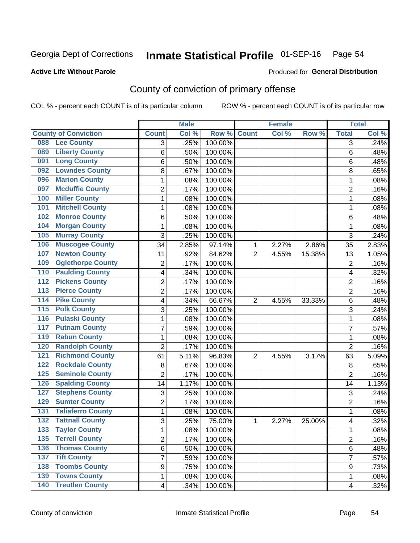## Inmate Statistical Profile 01-SEP-16 Page 54

#### **Active Life Without Parole**

#### Produced for General Distribution

## County of conviction of primary offense

COL % - percent each COUNT is of its particular column

|                  |                             |                | <b>Male</b> |                  |                | <b>Female</b> |        |                | <b>Total</b> |
|------------------|-----------------------------|----------------|-------------|------------------|----------------|---------------|--------|----------------|--------------|
|                  | <b>County of Conviction</b> | <b>Count</b>   | Col %       | Row <sup>%</sup> | <b>Count</b>   | Col %         | Row %  | <b>Total</b>   | Col %        |
| 088              | <b>Lee County</b>           | 3              | .25%        | 100.00%          |                |               |        | 3              | .24%         |
| 089              | <b>Liberty County</b>       | 6              | .50%        | 100.00%          |                |               |        | 6              | .48%         |
| 091              | <b>Long County</b>          | 6              | .50%        | 100.00%          |                |               |        | 6              | .48%         |
| 092              | <b>Lowndes County</b>       | 8              | .67%        | 100.00%          |                |               |        | 8              | .65%         |
| 096              | <b>Marion County</b>        | 1              | .08%        | 100.00%          |                |               |        | 1              | .08%         |
| 097              | <b>Mcduffie County</b>      | $\overline{2}$ | .17%        | 100.00%          |                |               |        | $\overline{2}$ | .16%         |
| 100              | <b>Miller County</b>        | 1              | .08%        | 100.00%          |                |               |        | 1              | .08%         |
| 101              | <b>Mitchell County</b>      | 1              | .08%        | 100.00%          |                |               |        | 1              | .08%         |
| 102              | <b>Monroe County</b>        | 6              | .50%        | 100.00%          |                |               |        | 6              | .48%         |
| 104              | <b>Morgan County</b>        | 1              | .08%        | 100.00%          |                |               |        | 1              | .08%         |
| 105              | <b>Murray County</b>        | 3              | .25%        | 100.00%          |                |               |        | 3              | .24%         |
| 106              | <b>Muscogee County</b>      | 34             | 2.85%       | 97.14%           | 1              | 2.27%         | 2.86%  | 35             | 2.83%        |
| 107              | <b>Newton County</b>        | 11             | .92%        | 84.62%           | $\overline{2}$ | 4.55%         | 15.38% | 13             | 1.05%        |
| 109              | <b>Oglethorpe County</b>    | $\overline{2}$ | .17%        | 100.00%          |                |               |        | $\overline{2}$ | .16%         |
| 110              | <b>Paulding County</b>      | 4              | .34%        | 100.00%          |                |               |        | 4              | .32%         |
| 112              | <b>Pickens County</b>       | $\overline{2}$ | .17%        | 100.00%          |                |               |        | $\overline{c}$ | .16%         |
| 113              | <b>Pierce County</b>        | $\overline{2}$ | .17%        | 100.00%          |                |               |        | $\overline{2}$ | .16%         |
| 114              | <b>Pike County</b>          | 4              | .34%        | 66.67%           | $\overline{2}$ | 4.55%         | 33.33% | 6              | .48%         |
| 115              | <b>Polk County</b>          | 3              | .25%        | 100.00%          |                |               |        | 3              | .24%         |
| 116              | <b>Pulaski County</b>       | 1              | .08%        | 100.00%          |                |               |        | 1              | .08%         |
| 117              | <b>Putnam County</b>        | 7              | .59%        | 100.00%          |                |               |        | 7              | .57%         |
| 119              | <b>Rabun County</b>         | 1              | .08%        | 100.00%          |                |               |        | $\mathbf{1}$   | .08%         |
| 120              | <b>Randolph County</b>      | $\overline{2}$ | .17%        | 100.00%          |                |               |        | $\overline{2}$ | .16%         |
| 121              | <b>Richmond County</b>      | 61             | 5.11%       | 96.83%           | $\overline{2}$ | 4.55%         | 3.17%  | 63             | 5.09%        |
| 122              | <b>Rockdale County</b>      | 8              | .67%        | 100.00%          |                |               |        | 8              | .65%         |
| 125              | <b>Seminole County</b>      | $\overline{2}$ | .17%        | 100.00%          |                |               |        | $\overline{2}$ | .16%         |
| 126              | <b>Spalding County</b>      | 14             | 1.17%       | 100.00%          |                |               |        | 14             | 1.13%        |
| 127              | <b>Stephens County</b>      | 3              | .25%        | 100.00%          |                |               |        | 3              | .24%         |
| 129              | <b>Sumter County</b>        | $\overline{2}$ | .17%        | 100.00%          |                |               |        | 2              | .16%         |
| $\overline{131}$ | <b>Taliaferro County</b>    | 1              | .08%        | 100.00%          |                |               |        | $\mathbf{1}$   | .08%         |
| $\overline{132}$ | <b>Tattnall County</b>      | 3              | .25%        | 75.00%           | 1              | 2.27%         | 25.00% | 4              | .32%         |
|                  | 133 Taylor County           | 1              | .08%        | 100.00%          |                |               |        | 1              | .08%         |
| 135              | <b>Terrell County</b>       | $\overline{2}$ | .17%        | 100.00%          |                |               |        | $\overline{2}$ | .16%         |
|                  | <b>136 Thomas County</b>    | 6              | .50%        | 100.00%          |                |               |        | 6              | .48%         |
| 137              | <b>Tift County</b>          | 7              | .59%        | 100.00%          |                |               |        | $\overline{7}$ | .57%         |
| 138              | <b>Toombs County</b>        | 9              | .75%        | 100.00%          |                |               |        | 9              | .73%         |
| 139              | <b>Towns County</b>         | 1              | .08%        | 100.00%          |                |               |        | 1              | .08%         |
|                  | <b>140 Treutlen County</b>  | 4              | .34%        | 100.00%          |                |               |        | 4              | .32%         |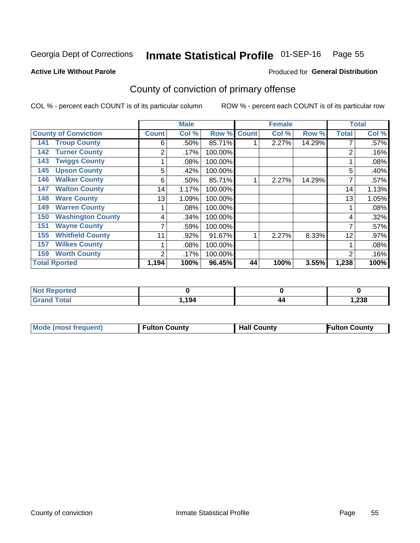## Inmate Statistical Profile 01-SEP-16 Page 55

Produced for General Distribution

#### **Active Life Without Parole**

## County of conviction of primary offense

COL % - percent each COUNT is of its particular column

|                                 |                | <b>Male</b> |         |              | <b>Female</b> |        |              | <b>Total</b> |
|---------------------------------|----------------|-------------|---------|--------------|---------------|--------|--------------|--------------|
| <b>County of Conviction</b>     | <b>Count</b>   | Col %       | Row %   | <b>Count</b> | Col %         | Row %  | <b>Total</b> | Col %        |
| <b>Troup County</b><br>141      | 6              | .50%        | 85.71%  |              | 2.27%         | 14.29% |              | .57%         |
| <b>Turner County</b><br>142     | 2              | .17%        | 100.00% |              |               |        | 2            | .16%         |
| <b>Twiggs County</b><br>143     |                | .08%        | 100.00% |              |               |        |              | .08%         |
| <b>Upson County</b><br>145      | 5              | .42%        | 100.00% |              |               |        | 5            | .40%         |
| <b>Walker County</b><br>146     | 6              | .50%        | 85.71%  |              | 2.27%         | 14.29% | 7            | .57%         |
| <b>Walton County</b><br>147     | 14             | 1.17%       | 100.00% |              |               |        | 14           | 1.13%        |
| <b>Ware County</b><br>148       | 13             | 1.09%       | 100.00% |              |               |        | 13           | 1.05%        |
| <b>Warren County</b><br>149     |                | .08%        | 100.00% |              |               |        |              | .08%         |
| <b>Washington County</b><br>150 | 4              | .34%        | 100.00% |              |               |        | 4            | .32%         |
| <b>Wayne County</b><br>151      |                | .59%        | 100.00% |              |               |        |              | .57%         |
| <b>Whitfield County</b><br>155  | 11             | .92%        | 91.67%  |              | 2.27%         | 8.33%  | 12           | .97%         |
| <b>Wilkes County</b><br>157     |                | .08%        | 100.00% |              |               |        |              | .08%         |
| <b>Worth County</b><br>159      | $\overline{2}$ | .17%        | 100.00% |              |               |        | 2            | .16%         |
| <b>Total Rported</b>            | 1,194          | 100%        | 96.45%  | 44           | 100%          | 3.55%  | 1,238        | 100%         |

| 'N∩.<br>rteo                    |      |    |       |
|---------------------------------|------|----|-------|
| <b>otal</b><br>Gra<br>$- \cdot$ | ,194 | 44 | 1,238 |

|  | <b>Mode (most frequent)</b> | <b>Fulton County</b> | <b>Hall County</b> | <b>Fulton County</b> |
|--|-----------------------------|----------------------|--------------------|----------------------|
|--|-----------------------------|----------------------|--------------------|----------------------|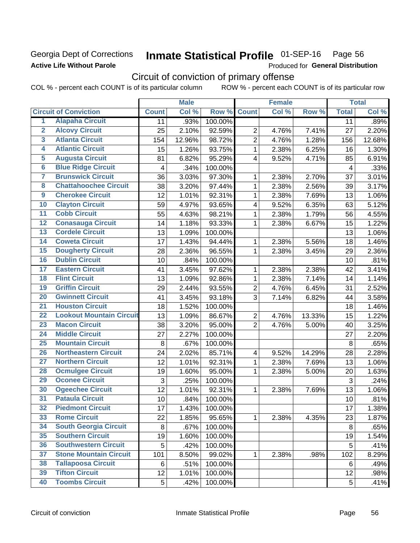### Georgia Dept of Corrections **Active Life Without Parole**

## Inmate Statistical Profile 01-SEP-16 Page 56

Produced for General Distribution

## Circuit of conviction of primary offense

|                         |                                 |              | <b>Male</b> |         |                         | <b>Female</b> |        |              | <b>Total</b> |
|-------------------------|---------------------------------|--------------|-------------|---------|-------------------------|---------------|--------|--------------|--------------|
|                         | <b>Circuit of Conviction</b>    | <b>Count</b> | Col %       | Row %   | <b>Count</b>            | Col %         | Row %  | <b>Total</b> | Col %        |
| 1                       | <b>Alapaha Circuit</b>          | 11           | .93%        | 100.00% |                         |               |        | 11           | .89%         |
| $\overline{2}$          | <b>Alcovy Circuit</b>           | 25           | 2.10%       | 92.59%  | $\overline{2}$          | 4.76%         | 7.41%  | 27           | 2.20%        |
| $\overline{\mathbf{3}}$ | <b>Atlanta Circuit</b>          | 154          | 12.96%      | 98.72%  | $\overline{2}$          | 4.76%         | 1.28%  | 156          | 12.68%       |
| 4                       | <b>Atlantic Circuit</b>         | 15           | 1.26%       | 93.75%  | $\mathbf{1}$            | 2.38%         | 6.25%  | 16           | 1.30%        |
| 5                       | <b>Augusta Circuit</b>          | 81           | 6.82%       | 95.29%  | $\overline{4}$          | 9.52%         | 4.71%  | 85           | 6.91%        |
| $\overline{6}$          | <b>Blue Ridge Circuit</b>       | 4            | .34%        | 100.00% |                         |               |        | 4            | .33%         |
| $\overline{\mathbf{7}}$ | <b>Brunswick Circuit</b>        | 36           | 3.03%       | 97.30%  | 1                       | 2.38%         | 2.70%  | 37           | 3.01%        |
| $\overline{\mathbf{8}}$ | <b>Chattahoochee Circuit</b>    | 38           | 3.20%       | 97.44%  | 1                       | 2.38%         | 2.56%  | 39           | 3.17%        |
| $\overline{9}$          | <b>Cherokee Circuit</b>         | 12           | 1.01%       | 92.31%  | $\mathbf{1}$            | 2.38%         | 7.69%  | 13           | 1.06%        |
| 10                      | <b>Clayton Circuit</b>          | 59           | 4.97%       | 93.65%  | $\overline{\mathbf{4}}$ | 9.52%         | 6.35%  | 63           | 5.12%        |
| $\overline{11}$         | <b>Cobb Circuit</b>             | 55           | 4.63%       | 98.21%  | $\mathbf{1}$            | 2.38%         | 1.79%  | 56           | 4.55%        |
| $\overline{12}$         | <b>Conasauga Circuit</b>        | 14           | 1.18%       | 93.33%  | 1                       | 2.38%         | 6.67%  | 15           | 1.22%        |
| 13                      | <b>Cordele Circuit</b>          | 13           | 1.09%       | 100.00% |                         |               |        | 13           | 1.06%        |
| $\overline{14}$         | <b>Coweta Circuit</b>           | 17           | 1.43%       | 94.44%  | $\mathbf{1}$            | 2.38%         | 5.56%  | 18           | 1.46%        |
| 15                      | <b>Dougherty Circuit</b>        | 28           | 2.36%       | 96.55%  | $\mathbf 1$             | 2.38%         | 3.45%  | 29           | 2.36%        |
| 16                      | <b>Dublin Circuit</b>           | 10           | .84%        | 100.00% |                         |               |        | 10           | .81%         |
| 17                      | <b>Eastern Circuit</b>          | 41           | 3.45%       | 97.62%  | 1                       | 2.38%         | 2.38%  | 42           | 3.41%        |
| 18                      | <b>Flint Circuit</b>            | 13           | 1.09%       | 92.86%  | $\mathbf{1}$            | 2.38%         | 7.14%  | 14           | 1.14%        |
| 19                      | <b>Griffin Circuit</b>          | 29           | 2.44%       | 93.55%  | $\overline{2}$          | 4.76%         | 6.45%  | 31           | 2.52%        |
| 20                      | <b>Gwinnett Circuit</b>         | 41           | 3.45%       | 93.18%  | 3                       | 7.14%         | 6.82%  | 44           | 3.58%        |
| $\overline{21}$         | <b>Houston Circuit</b>          | 18           | 1.52%       | 100.00% |                         |               |        | 18           | 1.46%        |
| $\overline{22}$         | <b>Lookout Mountain Circuit</b> | 13           | 1.09%       | 86.67%  | $\overline{2}$          | 4.76%         | 13.33% | 15           | 1.22%        |
| 23                      | <b>Macon Circuit</b>            | 38           | 3.20%       | 95.00%  | $\overline{2}$          | 4.76%         | 5.00%  | 40           | 3.25%        |
| $\overline{24}$         | <b>Middle Circuit</b>           | 27           | 2.27%       | 100.00% |                         |               |        | 27           | 2.20%        |
| 25                      | <b>Mountain Circuit</b>         | 8            | .67%        | 100.00% |                         |               |        | 8            | .65%         |
| 26                      | <b>Northeastern Circuit</b>     | 24           | 2.02%       | 85.71%  | $\overline{\mathbf{4}}$ | 9.52%         | 14.29% | 28           | 2.28%        |
| $\overline{27}$         | <b>Northern Circuit</b>         | 12           | 1.01%       | 92.31%  | $\mathbf{1}$            | 2.38%         | 7.69%  | 13           | 1.06%        |
| 28                      | <b>Ocmulgee Circuit</b>         | 19           | 1.60%       | 95.00%  | 1                       | 2.38%         | 5.00%  | 20           | 1.63%        |
| 29                      | <b>Oconee Circuit</b>           | 3            | .25%        | 100.00% |                         |               |        | 3            | .24%         |
| 30                      | <b>Ogeechee Circuit</b>         | 12           | 1.01%       | 92.31%  | 1                       | 2.38%         | 7.69%  | 13           | 1.06%        |
| $\overline{31}$         | <b>Pataula Circuit</b>          | 10           | .84%        | 100.00% |                         |               |        | 10           | .81%         |
| 32                      | <b>Piedmont Circuit</b>         | 17           | 1.43%       | 100.00% |                         |               |        | 17           | 1.38%        |
| 33                      | <b>Rome Circuit</b>             | 22           | 1.85%       | 95.65%  | $\mathbf{1}$            | 2.38%         | 4.35%  | 23           | 1.87%        |
| 34                      | <b>South Georgia Circuit</b>    | 8            | .67%        | 100.00% |                         |               |        | 8            | .65%         |
| 35                      | <b>Southern Circuit</b>         | 19           | 1.60%       | 100.00% |                         |               |        | 19           | 1.54%        |
| 36                      | <b>Southwestern Circuit</b>     | 5            | .42%        | 100.00% |                         |               |        | 5            | .41%         |
| 37                      | <b>Stone Mountain Circuit</b>   | 101          | 8.50%       | 99.02%  | 1                       | 2.38%         | .98%   | 102          | 8.29%        |
| 38                      | <b>Tallapoosa Circuit</b>       | 6            | .51%        | 100.00% |                         |               |        | 6            | .49%         |
| 39                      | <b>Tifton Circuit</b>           | 12           | 1.01%       | 100.00% |                         |               |        | 12           | .98%         |
| 40                      | <b>Toombs Circuit</b>           | 5            | .42%        | 100.00% |                         |               |        | 5            | .41%         |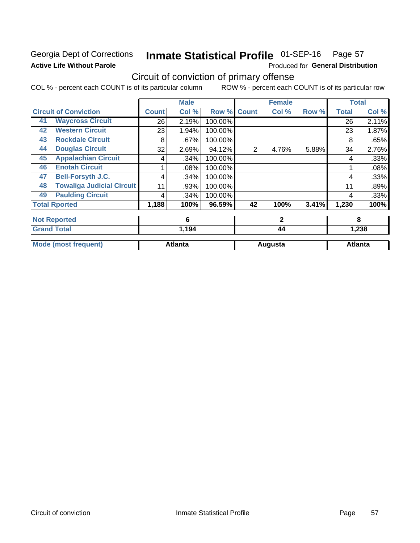### Georgia Dept of Corrections **Active Life Without Parole**

#### Inmate Statistical Profile 01-SEP-16 Page 57

Produced for General Distribution

## Circuit of conviction of primary offense

|    |                                  |       | <b>Male</b>    |         |              | <b>Female</b> |       | <b>Total</b> |                |
|----|----------------------------------|-------|----------------|---------|--------------|---------------|-------|--------------|----------------|
|    | <b>Circuit of Conviction</b>     | Count | Col %          | Row %   | <b>Count</b> | Col %         | Row % | <b>Total</b> | Col %          |
| 41 | <b>Waycross Circuit</b>          | 26    | 2.19%          | 100.00% |              |               |       | 26           | 2.11%          |
| 42 | <b>Western Circuit</b>           | 23    | 1.94%          | 100.00% |              |               |       | 23           | 1.87%          |
| 43 | <b>Rockdale Circuit</b>          | 8     | .67%           | 100.00% |              |               |       | 8            | .65%           |
| 44 | <b>Douglas Circuit</b>           | 32    | 2.69%          | 94.12%  | 2            | 4.76%         | 5.88% | 34           | 2.76%          |
| 45 | <b>Appalachian Circuit</b>       | 4     | .34%           | 100.00% |              |               |       | 4            | .33%           |
| 46 | <b>Enotah Circuit</b>            |       | .08%           | 100.00% |              |               |       |              | .08%           |
| 47 | <b>Bell-Forsyth J.C.</b>         | 4     | .34%           | 100.00% |              |               |       | 4            | .33%           |
| 48 | <b>Towaliga Judicial Circuit</b> | 11    | .93%           | 100.00% |              |               |       | 11           | .89%           |
| 49 | <b>Paulding Circuit</b>          | 4     | .34%           | 100.00% |              |               |       | 4            | .33%           |
|    | <b>Total Rported</b>             | 1,188 | 100%           | 96.59%  | 42           | 100%          | 3.41% | 1,230        | 100%           |
|    | <b>Not Reported</b>              |       | 6              |         |              | $\mathbf{2}$  |       |              | 8              |
|    | <b>Grand Total</b>               |       | 1,194          |         |              | 44            |       |              | 1,238          |
|    | <b>Mode (most frequent)</b>      |       | <b>Atlanta</b> |         |              | Augusta       |       |              | <b>Atlanta</b> |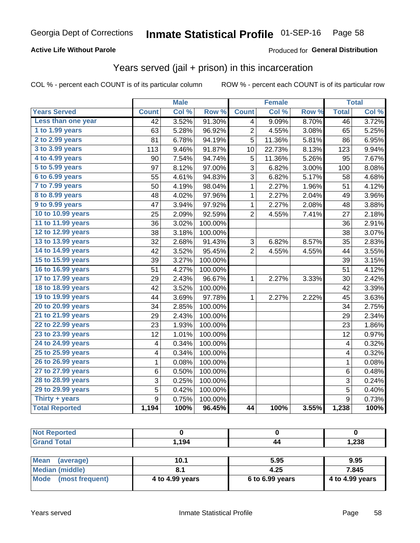### **Active Life Without Parole**

### Produced for General Distribution

## Years served (jail + prison) in this incarceration

COL % - percent each COUNT is of its particular column

|                       |                 | <b>Male</b> |                  |                | <b>Female</b> |       |                  | <b>Total</b> |
|-----------------------|-----------------|-------------|------------------|----------------|---------------|-------|------------------|--------------|
| <b>Years Served</b>   | <b>Count</b>    | Col %       | Row <sup>%</sup> | <b>Count</b>   | Col %         | Row % | <b>Total</b>     | Col %        |
| Less than one year    | $\overline{42}$ | 3.52%       | 91.30%           | 4              | 9.09%         | 8.70% | $\overline{46}$  | 3.72%        |
| 1 to 1.99 years       | 63              | 5.28%       | 96.92%           | $\overline{2}$ | 4.55%         | 3.08% | 65               | 5.25%        |
| 2 to 2.99 years       | 81              | 6.78%       | 94.19%           | 5              | 11.36%        | 5.81% | 86               | 6.95%        |
| 3 to 3.99 years       | 113             | 9.46%       | 91.87%           | 10             | 22.73%        | 8.13% | 123              | 9.94%        |
| 4 to 4.99 years       | 90              | 7.54%       | 94.74%           | 5              | 11.36%        | 5.26% | 95               | 7.67%        |
| 5 to 5.99 years       | 97              | 8.12%       | 97.00%           | 3              | 6.82%         | 3.00% | 100              | 8.08%        |
| 6 to 6.99 years       | 55              | 4.61%       | 94.83%           | 3              | 6.82%         | 5.17% | 58               | 4.68%        |
| 7 to 7.99 years       | 50              | 4.19%       | 98.04%           | 1              | 2.27%         | 1.96% | 51               | 4.12%        |
| 8 to 8.99 years       | 48              | 4.02%       | 97.96%           | $\mathbf 1$    | 2.27%         | 2.04% | 49               | 3.96%        |
| 9 to 9.99 years       | 47              | 3.94%       | 97.92%           | $\mathbf 1$    | 2.27%         | 2.08% | 48               | 3.88%        |
| 10 to 10.99 years     | 25              | 2.09%       | 92.59%           | $\overline{2}$ | 4.55%         | 7.41% | 27               | 2.18%        |
| 11 to 11.99 years     | 36              | 3.02%       | 100.00%          |                |               |       | 36               | 2.91%        |
| 12 to 12.99 years     | 38              | 3.18%       | 100.00%          |                |               |       | 38               | 3.07%        |
| 13 to 13.99 years     | 32              | 2.68%       | 91.43%           | 3              | 6.82%         | 8.57% | 35               | 2.83%        |
| 14 to 14.99 years     | 42              | 3.52%       | 95.45%           | $\overline{2}$ | 4.55%         | 4.55% | 44               | 3.55%        |
| 15 to 15.99 years     | 39              | 3.27%       | 100.00%          |                |               |       | 39               | 3.15%        |
| 16 to 16.99 years     | 51              | 4.27%       | 100.00%          |                |               |       | 51               | 4.12%        |
| 17 to 17.99 years     | 29              | 2.43%       | 96.67%           | $\mathbf 1$    | 2.27%         | 3.33% | 30               | 2.42%        |
| 18 to 18.99 years     | 42              | 3.52%       | 100.00%          |                |               |       | 42               | 3.39%        |
| 19 to 19.99 years     | 44              | 3.69%       | 97.78%           | 1              | 2.27%         | 2.22% | 45               | 3.63%        |
| 20 to 20.99 years     | 34              | 2.85%       | 100.00%          |                |               |       | 34               | 2.75%        |
| 21 to 21.99 years     | 29              | 2.43%       | 100.00%          |                |               |       | 29               | 2.34%        |
| 22 to 22.99 years     | 23              | 1.93%       | 100.00%          |                |               |       | 23               | 1.86%        |
| 23 to 23.99 years     | 12              | 1.01%       | 100.00%          |                |               |       | 12               | 0.97%        |
| 24 to 24.99 years     | 4               | 0.34%       | 100.00%          |                |               |       | 4                | 0.32%        |
| 25 to 25.99 years     | 4               | 0.34%       | 100.00%          |                |               |       | 4                | 0.32%        |
| 26 to 26.99 years     | $\mathbf 1$     | 0.08%       | 100.00%          |                |               |       | $\mathbf 1$      | 0.08%        |
| 27 to 27.99 years     | 6               | 0.50%       | 100.00%          |                |               |       | 6                | 0.48%        |
| 28 to 28.99 years     | 3               | 0.25%       | 100.00%          |                |               |       | 3                | 0.24%        |
| 29 to 29.99 years     | 5               | 0.42%       | 100.00%          |                |               |       | 5                | 0.40%        |
| Thirty + years        | 9               | 0.75%       | 100.00%          |                |               |       | $\boldsymbol{9}$ | 0.73%        |
| <b>Total Reported</b> | 1,194           | 100%        | 96.45%           | 44             | 100%          | 3.55% | 1,238            | 100%         |

| orted<br>NO:         |      |    |       |
|----------------------|------|----|-------|
| <b>Total</b><br>Cror | ,194 | 44 | 1,238 |
|                      |      |    |       |

| <b>Mean</b><br>(average) | 10.1            | 5.95              | 9.95            |
|--------------------------|-----------------|-------------------|-----------------|
| Median (middle)          |                 | 4.25              | 7.845           |
| Mode (most frequent)     | 4 to 4.99 years | $6$ to 6.99 years | 4 to 4.99 years |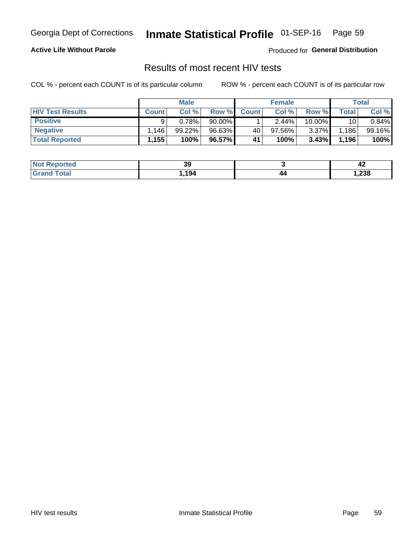#### Inmate Statistical Profile 01-SEP-16 Page 59

#### **Active Life Without Parole**

Produced for General Distribution

## Results of most recent HIV tests

COL % - percent each COUNT is of its particular column

|                         | <b>Male</b>  |        |        | <b>Female</b> |          |          | Total |        |
|-------------------------|--------------|--------|--------|---------------|----------|----------|-------|--------|
| <b>HIV Test Results</b> | <b>Count</b> | Col%   | Row %I | <b>Count</b>  | Col %    | Row %    | Total | Col %  |
| <b>Positive</b>         | a            | 0.78%  | 90.00% |               | $2.44\%$ | 10.00%   | 10    | 0.84%  |
| <b>Negative</b>         | .146         | 99.22% | 96.63% | 40            | 97.56%   | $3.37\%$ | 1,186 | 99.16% |
| <b>Total Reported</b>   | 1.155        | 100%   | 96.57% | 41            | 100%     | 3.43%    | 1,196 | 100%   |

| <b>Not Reported</b> | ״<br>აა |     | - 14 |
|---------------------|---------|-----|------|
| <b>Fotal</b>        | 194     | / / | ,238 |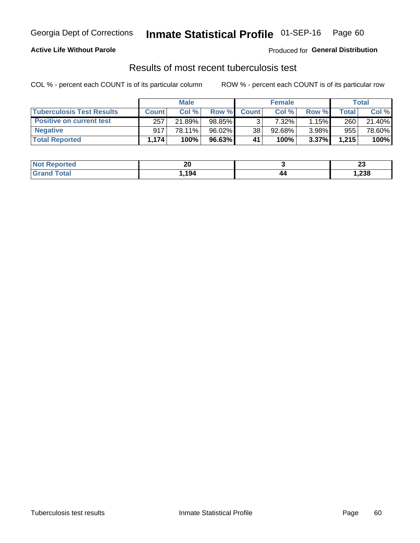## Georgia Dept of Corrections **Inmate Statistical Profile** 01-SEP-16 Page 60

#### **Active Life Without Parole**

Produced for **General Distribution**

## Results of most recent tuberculosis test

|                                  | <b>Male</b>  |        |        | <b>Female</b> |        |       | Total |        |
|----------------------------------|--------------|--------|--------|---------------|--------|-------|-------|--------|
| <b>Tuberculosis Test Results</b> | <b>Count</b> | Col%   | Row %I | <b>Count</b>  | Col %  | Row % | Total | Col %  |
| <b>Positive on current test</b>  | 257          | 21.89% | 98.85% |               | 7.32%  | 1.15% | 260   | 21.40% |
| <b>Negative</b>                  | 917          | 78.11% | 96.02% | 38            | 92.68% | 3.98% | 955   | 78.60% |
| <b>Total Reported</b>            | 1.174        | 100%   | 96.63% | 41            | 100%   | 3.37% | 1,215 | 100%   |

| <b>Not Reported</b> | ኅለ<br>ΖV |     | n.<br>W |
|---------------------|----------|-----|---------|
| <b>Total</b>        | 194      | / / | 238.،   |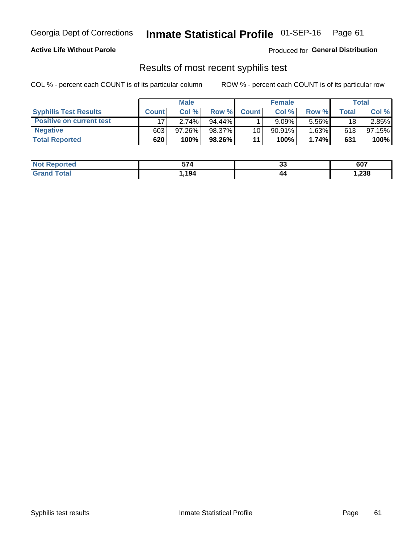## Georgia Dept of Corrections **Inmate Statistical Profile** 01-SEP-16 Page 61

#### **Active Life Without Parole**

Produced for **General Distribution**

### Results of most recent syphilis test

|                                 | <b>Male</b>  |           |           | <b>Female</b> |           |          | Total |        |
|---------------------------------|--------------|-----------|-----------|---------------|-----------|----------|-------|--------|
| <b>Syphilis Test Results</b>    | <b>Count</b> | Col%      | Row %I    | <b>Count</b>  | Col %     | Row %    | Total | Col %  |
| <b>Positive on current test</b> |              | 2.74%     | $94.44\%$ |               | 9.09%     | 5.56%    | 18    | 2.85%  |
| <b>Negative</b>                 | 603          | $97.26\%$ | 98.37%    | 10            | $90.91\%$ | $1.63\%$ | 613   | 97.15% |
| <b>Total Reported</b>           | 620          | 100%      | 98.26%    | 11            | 100%      | 1.74%    | 631   | 100%   |

| <b>Not Reported</b>     | 57 A<br>574 | ^^<br>◡ | 607   |
|-------------------------|-------------|---------|-------|
| <b>Total</b><br>' Grand | ,194        | 44      | 1,238 |